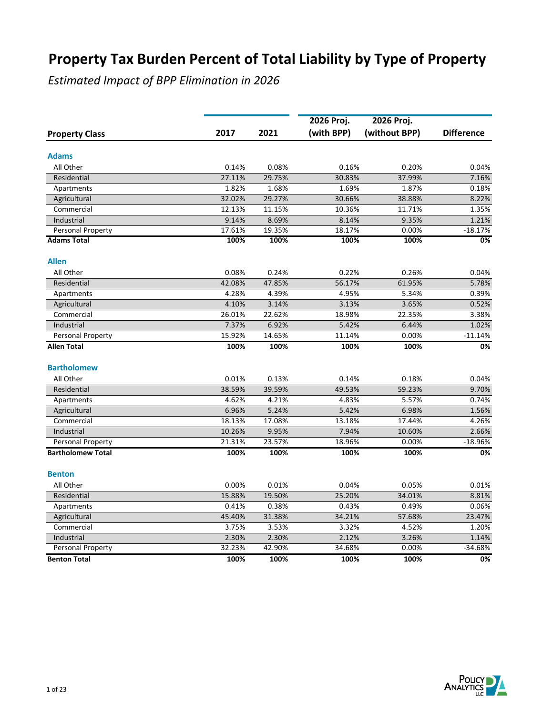|                          |        |        | 2026 Proj. | 2026 Proj.    |                   |
|--------------------------|--------|--------|------------|---------------|-------------------|
| <b>Property Class</b>    | 2017   | 2021   | (with BPP) | (without BPP) | <b>Difference</b> |
| <b>Adams</b>             |        |        |            |               |                   |
| All Other                | 0.14%  | 0.08%  | 0.16%      | 0.20%         | 0.04%             |
| Residential              | 27.11% | 29.75% | 30.83%     | 37.99%        | 7.16%             |
| Apartments               | 1.82%  | 1.68%  | 1.69%      | 1.87%         | 0.18%             |
| Agricultural             | 32.02% | 29.27% | 30.66%     | 38.88%        | 8.22%             |
| Commercial               | 12.13% | 11.15% | 10.36%     | 11.71%        | 1.35%             |
| Industrial               | 9.14%  | 8.69%  | 8.14%      | 9.35%         | 1.21%             |
| Personal Property        | 17.61% | 19.35% | 18.17%     | 0.00%         | $-18.17%$         |
| <b>Adams Total</b>       | 100%   | 100%   | 100%       | 100%          | 0%                |
| <b>Allen</b>             |        |        |            |               |                   |
| All Other                | 0.08%  | 0.24%  | 0.22%      | 0.26%         | 0.04%             |
| Residential              | 42.08% | 47.85% | 56.17%     | 61.95%        | 5.78%             |
| Apartments               | 4.28%  | 4.39%  | 4.95%      | 5.34%         | 0.39%             |
| Agricultural             | 4.10%  | 3.14%  | 3.13%      | 3.65%         | 0.52%             |
| Commercial               | 26.01% | 22.62% | 18.98%     | 22.35%        | 3.38%             |
| Industrial               | 7.37%  | 6.92%  | 5.42%      | 6.44%         | 1.02%             |
| Personal Property        | 15.92% | 14.65% | 11.14%     | 0.00%         | $-11.14%$         |
| Allen Total              | 100%   | 100%   | 100%       | 100%          | 0%                |
| <b>Bartholomew</b>       |        |        |            |               |                   |
| All Other                | 0.01%  | 0.13%  | 0.14%      | 0.18%         | 0.04%             |
| Residential              | 38.59% | 39.59% | 49.53%     | 59.23%        | 9.70%             |
| Apartments               | 4.62%  | 4.21%  | 4.83%      | 5.57%         | 0.74%             |
| Agricultural             | 6.96%  | 5.24%  | 5.42%      | 6.98%         | 1.56%             |
| Commercial               | 18.13% | 17.08% | 13.18%     | 17.44%        | 4.26%             |
| Industrial               | 10.26% | 9.95%  | 7.94%      | 10.60%        | 2.66%             |
| Personal Property        | 21.31% | 23.57% | 18.96%     | 0.00%         | $-18.96%$         |
| <b>Bartholomew Total</b> | 100%   | 100%   | 100%       | 100%          | 0%                |
| <b>Benton</b>            |        |        |            |               |                   |
| All Other                | 0.00%  | 0.01%  | 0.04%      | 0.05%         | 0.01%             |
| Residential              | 15.88% | 19.50% | 25.20%     | 34.01%        | 8.81%             |
| Apartments               | 0.41%  | 0.38%  | 0.43%      | 0.49%         | 0.06%             |
| Agricultural             | 45.40% | 31.38% | 34.21%     | 57.68%        | 23.47%            |
| Commercial               | 3.75%  | 3.53%  | 3.32%      | 4.52%         | 1.20%             |
| Industrial               | 2.30%  | 2.30%  | 2.12%      | 3.26%         | 1.14%             |
| <b>Personal Property</b> | 32.23% | 42.90% | 34.68%     | 0.00%         | $-34.68%$         |
| <b>Benton Total</b>      | 100%   | 100%   | 100%       | 100%          | 0%                |

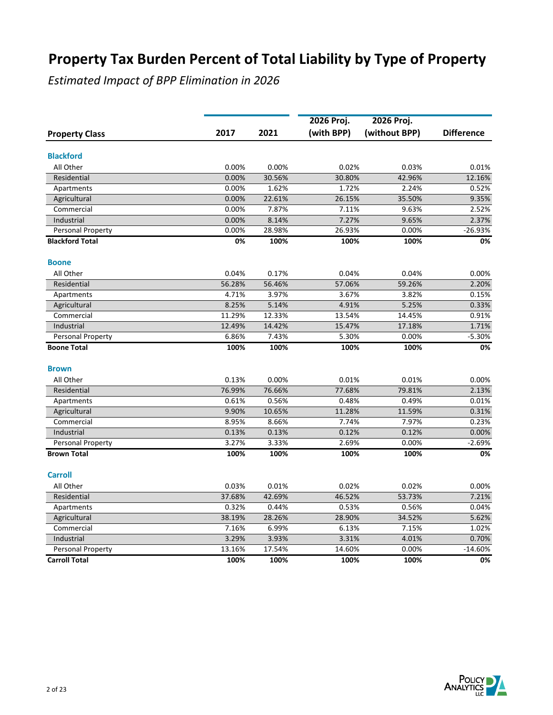|                          |        |        | 2026 Proj. | 2026 Proj.    |                   |
|--------------------------|--------|--------|------------|---------------|-------------------|
| <b>Property Class</b>    | 2017   | 2021   | (with BPP) | (without BPP) | <b>Difference</b> |
| <b>Blackford</b>         |        |        |            |               |                   |
| All Other                | 0.00%  | 0.00%  | 0.02%      | 0.03%         | 0.01%             |
| Residential              | 0.00%  | 30.56% | 30.80%     | 42.96%        | 12.16%            |
| Apartments               | 0.00%  | 1.62%  | 1.72%      | 2.24%         | 0.52%             |
| Agricultural             | 0.00%  | 22.61% | 26.15%     | 35.50%        | 9.35%             |
| Commercial               | 0.00%  | 7.87%  | 7.11%      | 9.63%         | 2.52%             |
| Industrial               | 0.00%  | 8.14%  | 7.27%      | 9.65%         | 2.37%             |
| Personal Property        | 0.00%  | 28.98% | 26.93%     | 0.00%         | $-26.93%$         |
| <b>Blackford Total</b>   | 0%     | 100%   | 100%       | 100%          | 0%                |
| <b>Boone</b>             |        |        |            |               |                   |
| All Other                | 0.04%  | 0.17%  | 0.04%      | 0.04%         | 0.00%             |
| Residential              | 56.28% | 56.46% | 57.06%     | 59.26%        | 2.20%             |
| Apartments               | 4.71%  | 3.97%  | 3.67%      | 3.82%         | 0.15%             |
| Agricultural             | 8.25%  | 5.14%  | 4.91%      | 5.25%         | 0.33%             |
| Commercial               | 11.29% | 12.33% | 13.54%     | 14.45%        | 0.91%             |
| Industrial               | 12.49% | 14.42% | 15.47%     | 17.18%        | 1.71%             |
| <b>Personal Property</b> | 6.86%  | 7.43%  | 5.30%      | 0.00%         | $-5.30%$          |
| <b>Boone Total</b>       | 100%   | 100%   | 100%       | 100%          | 0%                |
| <b>Brown</b>             |        |        |            |               |                   |
| All Other                | 0.13%  | 0.00%  | 0.01%      | 0.01%         | 0.00%             |
| Residential              | 76.99% | 76.66% | 77.68%     | 79.81%        | 2.13%             |
| Apartments               | 0.61%  | 0.56%  | 0.48%      | 0.49%         | 0.01%             |
| Agricultural             | 9.90%  | 10.65% | 11.28%     | 11.59%        | 0.31%             |
| Commercial               | 8.95%  | 8.66%  | 7.74%      | 7.97%         | 0.23%             |
| Industrial               | 0.13%  | 0.13%  | 0.12%      | 0.12%         | 0.00%             |
| Personal Property        | 3.27%  | 3.33%  | 2.69%      | 0.00%         | $-2.69%$          |
| <b>Brown Total</b>       | 100%   | 100%   | 100%       | 100%          | 0%                |
| <b>Carroll</b>           |        |        |            |               |                   |
| All Other                | 0.03%  | 0.01%  | 0.02%      | 0.02%         | 0.00%             |
| Residential              | 37.68% | 42.69% | 46.52%     | 53.73%        | 7.21%             |
| Apartments               | 0.32%  | 0.44%  | 0.53%      | 0.56%         | 0.04%             |
| Agricultural             | 38.19% | 28.26% | 28.90%     | 34.52%        | 5.62%             |
| Commercial               | 7.16%  | 6.99%  | 6.13%      | 7.15%         | 1.02%             |
| Industrial               | 3.29%  | 3.93%  | 3.31%      | 4.01%         | 0.70%             |
| Personal Property        | 13.16% | 17.54% | 14.60%     | 0.00%         | $-14.60%$         |
| <b>Carroll Total</b>     | 100%   | 100%   | 100%       | 100%          | 0%                |

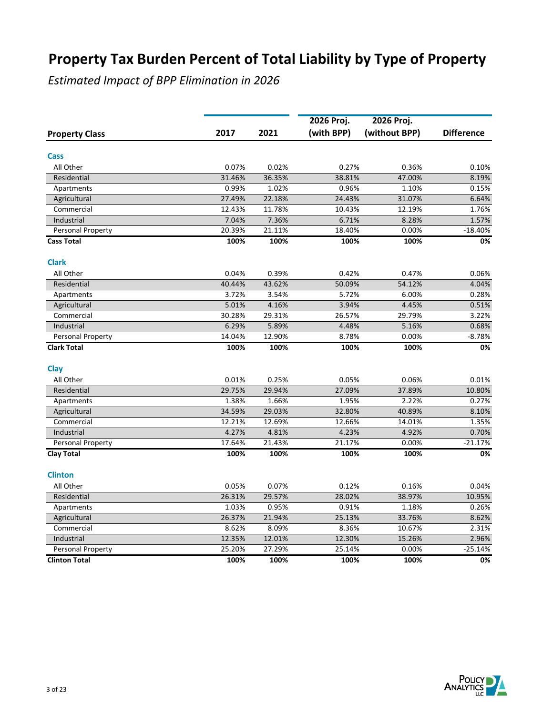|                          |        |        | 2026 Proj. | 2026 Proj.    |                   |
|--------------------------|--------|--------|------------|---------------|-------------------|
| <b>Property Class</b>    | 2017   | 2021   | (with BPP) | (without BPP) | <b>Difference</b> |
| Cass                     |        |        |            |               |                   |
| All Other                | 0.07%  | 0.02%  | 0.27%      | 0.36%         | 0.10%             |
| Residential              | 31.46% | 36.35% | 38.81%     | 47.00%        | 8.19%             |
| Apartments               | 0.99%  | 1.02%  | 0.96%      | 1.10%         | 0.15%             |
| Agricultural             | 27.49% | 22.18% | 24.43%     | 31.07%        | 6.64%             |
| Commercial               | 12.43% | 11.78% | 10.43%     | 12.19%        | 1.76%             |
| Industrial               | 7.04%  | 7.36%  | 6.71%      | 8.28%         | 1.57%             |
| Personal Property        | 20.39% | 21.11% | 18.40%     | 0.00%         | $-18.40%$         |
| <b>Cass Total</b>        | 100%   | 100%   | 100%       | 100%          | 0%                |
| <b>Clark</b>             |        |        |            |               |                   |
| All Other                | 0.04%  | 0.39%  | 0.42%      | 0.47%         | 0.06%             |
| Residential              | 40.44% | 43.62% | 50.09%     | 54.12%        | 4.04%             |
| Apartments               | 3.72%  | 3.54%  | 5.72%      | 6.00%         | 0.28%             |
| Agricultural             | 5.01%  | 4.16%  | 3.94%      | 4.45%         | 0.51%             |
| Commercial               | 30.28% | 29.31% | 26.57%     | 29.79%        | 3.22%             |
| Industrial               | 6.29%  | 5.89%  | 4.48%      | 5.16%         | 0.68%             |
| <b>Personal Property</b> | 14.04% | 12.90% | 8.78%      | 0.00%         | $-8.78%$          |
| <b>Clark Total</b>       | 100%   | 100%   | 100%       | 100%          | 0%                |
| Clay                     |        |        |            |               |                   |
| All Other                | 0.01%  | 0.25%  | 0.05%      | 0.06%         | 0.01%             |
| Residential              | 29.75% | 29.94% | 27.09%     | 37.89%        | 10.80%            |
| Apartments               | 1.38%  | 1.66%  | 1.95%      | 2.22%         | 0.27%             |
| Agricultural             | 34.59% | 29.03% | 32.80%     | 40.89%        | 8.10%             |
| Commercial               | 12.21% | 12.69% | 12.66%     | 14.01%        | 1.35%             |
| Industrial               | 4.27%  | 4.81%  | 4.23%      | 4.92%         | 0.70%             |
| Personal Property        | 17.64% | 21.43% | 21.17%     | 0.00%         | $-21.17%$         |
| <b>Clay Total</b>        | 100%   | 100%   | 100%       | 100%          | 0%                |
| <b>Clinton</b>           |        |        |            |               |                   |
| All Other                | 0.05%  | 0.07%  | 0.12%      | 0.16%         | 0.04%             |
| Residential              | 26.31% | 29.57% | 28.02%     | 38.97%        | 10.95%            |
| Apartments               | 1.03%  | 0.95%  | 0.91%      | 1.18%         | 0.26%             |
| Agricultural             | 26.37% | 21.94% | 25.13%     | 33.76%        | 8.62%             |
| Commercial               | 8.62%  | 8.09%  | 8.36%      | 10.67%        | 2.31%             |
| Industrial               | 12.35% | 12.01% | 12.30%     | 15.26%        | 2.96%             |
| Personal Property        | 25.20% | 27.29% | 25.14%     | 0.00%         | $-25.14%$         |
| <b>Clinton Total</b>     | 100%   | 100%   | 100%       | 100%          | 0%                |

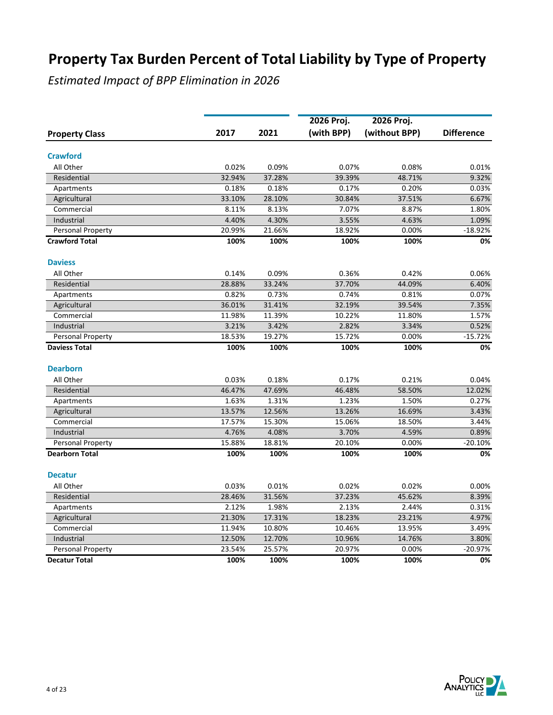|                          |        |        | 2026 Proj. | 2026 Proj.    |                   |
|--------------------------|--------|--------|------------|---------------|-------------------|
| <b>Property Class</b>    | 2017   | 2021   | (with BPP) | (without BPP) | <b>Difference</b> |
| <b>Crawford</b>          |        |        |            |               |                   |
| All Other                | 0.02%  | 0.09%  | 0.07%      | 0.08%         | 0.01%             |
| Residential              | 32.94% | 37.28% | 39.39%     | 48.71%        | 9.32%             |
| Apartments               | 0.18%  | 0.18%  | 0.17%      | 0.20%         | 0.03%             |
| Agricultural             | 33.10% | 28.10% | 30.84%     | 37.51%        | 6.67%             |
| Commercial               | 8.11%  | 8.13%  | 7.07%      | 8.87%         | 1.80%             |
| Industrial               | 4.40%  | 4.30%  | 3.55%      | 4.63%         | 1.09%             |
| Personal Property        | 20.99% | 21.66% | 18.92%     | 0.00%         | $-18.92%$         |
| <b>Crawford Total</b>    | 100%   | 100%   | 100%       | 100%          | 0%                |
| <b>Daviess</b>           |        |        |            |               |                   |
| All Other                | 0.14%  | 0.09%  | 0.36%      | 0.42%         | 0.06%             |
| Residential              | 28.88% | 33.24% | 37.70%     | 44.09%        | 6.40%             |
| Apartments               | 0.82%  | 0.73%  | 0.74%      | 0.81%         | 0.07%             |
| Agricultural             | 36.01% | 31.41% | 32.19%     | 39.54%        | 7.35%             |
| Commercial               | 11.98% | 11.39% | 10.22%     | 11.80%        | 1.57%             |
| Industrial               | 3.21%  | 3.42%  | 2.82%      | 3.34%         | 0.52%             |
| <b>Personal Property</b> | 18.53% | 19.27% | 15.72%     | 0.00%         | $-15.72%$         |
| <b>Daviess Total</b>     | 100%   | 100%   | 100%       | 100%          | 0%                |
| <b>Dearborn</b>          |        |        |            |               |                   |
| All Other                | 0.03%  | 0.18%  | 0.17%      | 0.21%         | 0.04%             |
| Residential              | 46.47% | 47.69% | 46.48%     | 58.50%        | 12.02%            |
| Apartments               | 1.63%  | 1.31%  | 1.23%      | 1.50%         | 0.27%             |
| Agricultural             | 13.57% | 12.56% | 13.26%     | 16.69%        | 3.43%             |
| Commercial               | 17.57% | 15.30% | 15.06%     | 18.50%        | 3.44%             |
| Industrial               | 4.76%  | 4.08%  | 3.70%      | 4.59%         | 0.89%             |
| Personal Property        | 15.88% | 18.81% | 20.10%     | 0.00%         | $-20.10%$         |
| <b>Dearborn Total</b>    | 100%   | 100%   | 100%       | 100%          | 0%                |
| <b>Decatur</b>           |        |        |            |               |                   |
| All Other                | 0.03%  | 0.01%  | 0.02%      | 0.02%         | 0.00%             |
| Residential              | 28.46% | 31.56% | 37.23%     | 45.62%        | 8.39%             |
| Apartments               | 2.12%  | 1.98%  | 2.13%      | 2.44%         | 0.31%             |
| Agricultural             | 21.30% | 17.31% | 18.23%     | 23.21%        | 4.97%             |
| Commercial               | 11.94% | 10.80% | 10.46%     | 13.95%        | 3.49%             |
| Industrial               | 12.50% | 12.70% | 10.96%     | 14.76%        | 3.80%             |
| Personal Property        | 23.54% | 25.57% | 20.97%     | 0.00%         | $-20.97%$         |
| <b>Decatur Total</b>     | 100%   | 100%   | 100%       | 100%          | 0%                |

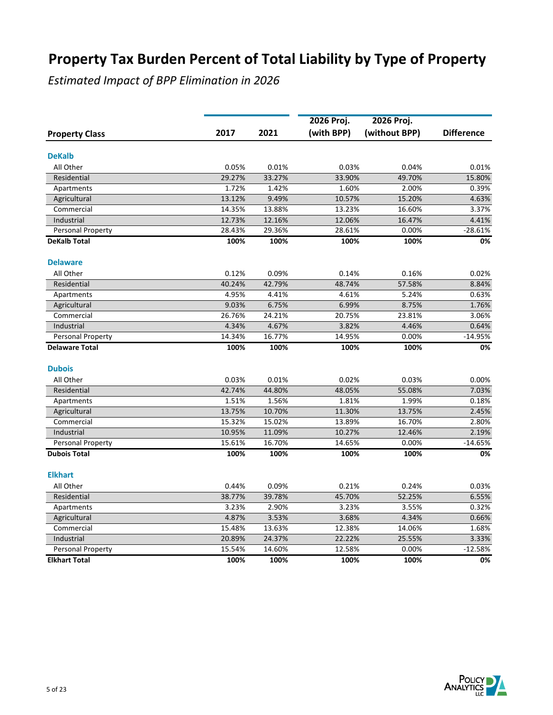|                            |                 |                 | 2026 Proj.      | 2026 Proj.      |                   |
|----------------------------|-----------------|-----------------|-----------------|-----------------|-------------------|
| <b>Property Class</b>      | 2017            | 2021            | (with BPP)      | (without BPP)   | <b>Difference</b> |
|                            |                 |                 |                 |                 |                   |
| <b>DeKalb</b>              |                 |                 |                 |                 |                   |
| All Other                  | 0.05%           | 0.01%           | 0.03%           | 0.04%           | 0.01%             |
| Residential                | 29.27%<br>1.72% | 33.27%<br>1.42% | 33.90%<br>1.60% | 49.70%<br>2.00% | 15.80%<br>0.39%   |
| Apartments                 | 13.12%          | 9.49%           | 10.57%          | 15.20%          | 4.63%             |
| Agricultural<br>Commercial | 14.35%          | 13.88%          | 13.23%          | 16.60%          | 3.37%             |
| Industrial                 | 12.73%          | 12.16%          | 12.06%          | 16.47%          | 4.41%             |
| Personal Property          | 28.43%          | 29.36%          | 28.61%          | 0.00%           | $-28.61%$         |
| <b>DeKalb Total</b>        | 100%            | 100%            | 100%            | 100%            | 0%                |
|                            |                 |                 |                 |                 |                   |
| <b>Delaware</b>            |                 |                 |                 |                 |                   |
| All Other                  | 0.12%           | 0.09%           | 0.14%           | 0.16%           | 0.02%             |
| Residential                | 40.24%          | 42.79%          | 48.74%          | 57.58%          | 8.84%             |
| Apartments                 | 4.95%           | 4.41%           | 4.61%           | 5.24%           | 0.63%             |
| Agricultural               | 9.03%           | 6.75%           | 6.99%           | 8.75%           | 1.76%             |
| Commercial                 | 26.76%          | 24.21%          | 20.75%          | 23.81%          | 3.06%             |
| Industrial                 | 4.34%           | 4.67%           | 3.82%           | 4.46%           | 0.64%             |
| Personal Property          | 14.34%          | 16.77%          | 14.95%          | 0.00%           | $-14.95%$         |
| <b>Delaware Total</b>      | 100%            | 100%            | 100%            | 100%            | 0%                |
| <b>Dubois</b>              |                 |                 |                 |                 |                   |
| All Other                  | 0.03%           | 0.01%           | 0.02%           | 0.03%           | 0.00%             |
| Residential                | 42.74%          | 44.80%          | 48.05%          | 55.08%          | 7.03%             |
| Apartments                 | 1.51%           | 1.56%           | 1.81%           | 1.99%           | 0.18%             |
| Agricultural               | 13.75%          | 10.70%          | 11.30%          | 13.75%          | 2.45%             |
| Commercial                 | 15.32%          | 15.02%          | 13.89%          | 16.70%          | 2.80%             |
| Industrial                 | 10.95%          | 11.09%          | 10.27%          | 12.46%          | 2.19%             |
| <b>Personal Property</b>   | 15.61%          | 16.70%          | 14.65%          | 0.00%           | $-14.65%$         |
| <b>Dubois Total</b>        | 100%            | 100%            | 100%            | 100%            | 0%                |
| <b>Elkhart</b>             |                 |                 |                 |                 |                   |
| All Other                  | 0.44%           | 0.09%           | 0.21%           | 0.24%           | 0.03%             |
| Residential                | 38.77%          | 39.78%          | 45.70%          | 52.25%          | 6.55%             |
| Apartments                 | 3.23%           | 2.90%           | 3.23%           | 3.55%           | 0.32%             |
| Agricultural               | 4.87%           | 3.53%           | 3.68%           | 4.34%           | 0.66%             |
| Commercial                 | 15.48%          | 13.63%          | 12.38%          | 14.06%          | 1.68%             |
| Industrial                 | 20.89%          | 24.37%          | 22.22%          | 25.55%          | 3.33%             |
| Personal Property          | 15.54%          | 14.60%          | 12.58%          | 0.00%           | $-12.58%$         |
| <b>Elkhart Total</b>       | 100%            | 100%            | 100%            | 100%            | 0%                |

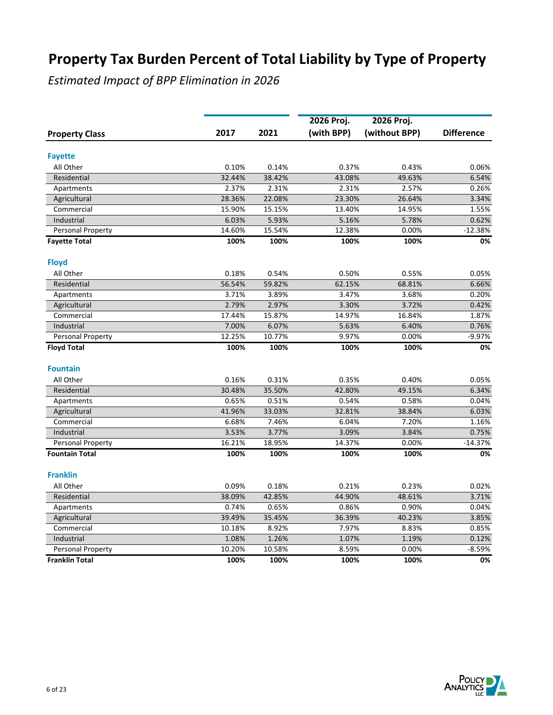|                          |        |        | 2026 Proj. | 2026 Proj.    |                   |
|--------------------------|--------|--------|------------|---------------|-------------------|
| <b>Property Class</b>    | 2017   | 2021   | (with BPP) | (without BPP) | <b>Difference</b> |
| <b>Fayette</b>           |        |        |            |               |                   |
| All Other                | 0.10%  | 0.14%  | 0.37%      | 0.43%         | 0.06%             |
| Residential              | 32.44% | 38.42% | 43.08%     | 49.63%        | 6.54%             |
| Apartments               | 2.37%  | 2.31%  | 2.31%      | 2.57%         | 0.26%             |
| Agricultural             | 28.36% | 22.08% | 23.30%     | 26.64%        | 3.34%             |
| Commercial               | 15.90% | 15.15% | 13.40%     | 14.95%        | 1.55%             |
| Industrial               | 6.03%  | 5.93%  | 5.16%      | 5.78%         | 0.62%             |
| Personal Property        | 14.60% | 15.54% | 12.38%     | 0.00%         | $-12.38%$         |
| <b>Favette Total</b>     | 100%   | 100%   | 100%       | 100%          | 0%                |
| <b>Floyd</b>             |        |        |            |               |                   |
| All Other                | 0.18%  | 0.54%  | 0.50%      | 0.55%         | 0.05%             |
| Residential              | 56.54% | 59.82% | 62.15%     | 68.81%        | 6.66%             |
| Apartments               | 3.71%  | 3.89%  | 3.47%      | 3.68%         | 0.20%             |
| Agricultural             | 2.79%  | 2.97%  | 3.30%      | 3.72%         | 0.42%             |
| Commercial               | 17.44% | 15.87% | 14.97%     | 16.84%        | 1.87%             |
| Industrial               | 7.00%  | 6.07%  | 5.63%      | 6.40%         | 0.76%             |
| <b>Personal Property</b> | 12.25% | 10.77% | 9.97%      | 0.00%         | $-9.97%$          |
| <b>Floyd Total</b>       | 100%   | 100%   | 100%       | 100%          | 0%                |
| <b>Fountain</b>          |        |        |            |               |                   |
| All Other                | 0.16%  | 0.31%  | 0.35%      | 0.40%         | 0.05%             |
| Residential              | 30.48% | 35.50% | 42.80%     | 49.15%        | 6.34%             |
| Apartments               | 0.65%  | 0.51%  | 0.54%      | 0.58%         | 0.04%             |
| Agricultural             | 41.96% | 33.03% | 32.81%     | 38.84%        | 6.03%             |
| Commercial               | 6.68%  | 7.46%  | 6.04%      | 7.20%         | 1.16%             |
| Industrial               | 3.53%  | 3.77%  | 3.09%      | 3.84%         | 0.75%             |
| Personal Property        | 16.21% | 18.95% | 14.37%     | 0.00%         | $-14.37%$         |
| <b>Fountain Total</b>    | 100%   | 100%   | 100%       | 100%          | 0%                |
| <b>Franklin</b>          |        |        |            |               |                   |
| All Other                | 0.09%  | 0.18%  | 0.21%      | 0.23%         | 0.02%             |
| Residential              | 38.09% | 42.85% | 44.90%     | 48.61%        | 3.71%             |
| Apartments               | 0.74%  | 0.65%  | 0.86%      | 0.90%         | 0.04%             |
| Agricultural             | 39.49% | 35.45% | 36.39%     | 40.23%        | 3.85%             |
| Commercial               | 10.18% | 8.92%  | 7.97%      | 8.83%         | 0.85%             |
| Industrial               | 1.08%  | 1.26%  | 1.07%      | 1.19%         | 0.12%             |
| Personal Property        | 10.20% | 10.58% | 8.59%      | 0.00%         | $-8.59%$          |
| <b>Franklin Total</b>    | 100%   | 100%   | 100%       | 100%          | 0%                |

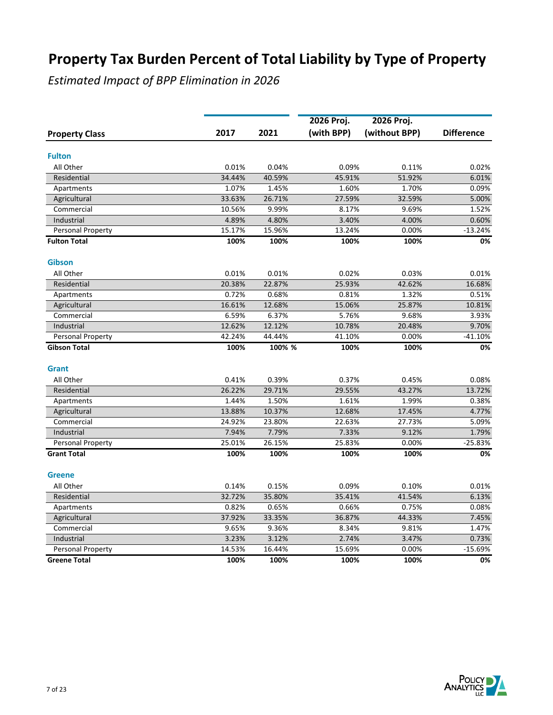|                       |        |        | 2026 Proj. | 2026 Proj.    |                   |
|-----------------------|--------|--------|------------|---------------|-------------------|
| <b>Property Class</b> | 2017   | 2021   | (with BPP) | (without BPP) | <b>Difference</b> |
| <b>Fulton</b>         |        |        |            |               |                   |
| All Other             | 0.01%  | 0.04%  | 0.09%      | 0.11%         | 0.02%             |
| Residential           | 34.44% | 40.59% | 45.91%     | 51.92%        | 6.01%             |
| Apartments            | 1.07%  | 1.45%  | 1.60%      | 1.70%         | 0.09%             |
| Agricultural          | 33.63% | 26.71% | 27.59%     | 32.59%        | 5.00%             |
| Commercial            | 10.56% | 9.99%  | 8.17%      | 9.69%         | 1.52%             |
| Industrial            | 4.89%  | 4.80%  | 3.40%      | 4.00%         | 0.60%             |
| Personal Property     | 15.17% | 15.96% | 13.24%     | 0.00%         | $-13.24%$         |
| <b>Fulton Total</b>   | 100%   | 100%   | 100%       | 100%          | 0%                |
| <b>Gibson</b>         |        |        |            |               |                   |
| All Other             | 0.01%  | 0.01%  | 0.02%      | 0.03%         | 0.01%             |
| Residential           | 20.38% | 22.87% | 25.93%     | 42.62%        | 16.68%            |
| Apartments            | 0.72%  | 0.68%  | 0.81%      | 1.32%         | 0.51%             |
| Agricultural          | 16.61% | 12.68% | 15.06%     | 25.87%        | 10.81%            |
| Commercial            | 6.59%  | 6.37%  | 5.76%      | 9.68%         | 3.93%             |
| Industrial            | 12.62% | 12.12% | 10.78%     | 20.48%        | 9.70%             |
| Personal Property     | 42.24% | 44.44% | 41.10%     | 0.00%         | $-41.10%$         |
| <b>Gibson Total</b>   | 100%   | 100%%  | 100%       | 100%          | 0%                |
| Grant                 |        |        |            |               |                   |
| All Other             | 0.41%  | 0.39%  | 0.37%      | 0.45%         | 0.08%             |
| Residential           | 26.22% | 29.71% | 29.55%     | 43.27%        | 13.72%            |
| Apartments            | 1.44%  | 1.50%  | 1.61%      | 1.99%         | 0.38%             |
| Agricultural          | 13.88% | 10.37% | 12.68%     | 17.45%        | 4.77%             |
| Commercial            | 24.92% | 23.80% | 22.63%     | 27.73%        | 5.09%             |
| Industrial            | 7.94%  | 7.79%  | 7.33%      | 9.12%         | 1.79%             |
| Personal Property     | 25.01% | 26.15% | 25.83%     | 0.00%         | $-25.83%$         |
| <b>Grant Total</b>    | 100%   | 100%   | 100%       | 100%          | 0%                |
| <b>Greene</b>         |        |        |            |               |                   |
| All Other             | 0.14%  | 0.15%  | 0.09%      | 0.10%         | 0.01%             |
| Residential           | 32.72% | 35.80% | 35.41%     | 41.54%        | 6.13%             |
| Apartments            | 0.82%  | 0.65%  | 0.66%      | 0.75%         | 0.08%             |
| Agricultural          | 37.92% | 33.35% | 36.87%     | 44.33%        | 7.45%             |
| Commercial            | 9.65%  | 9.36%  | 8.34%      | 9.81%         | 1.47%             |
| Industrial            | 3.23%  | 3.12%  | 2.74%      | 3.47%         | 0.73%             |
| Personal Property     | 14.53% | 16.44% | 15.69%     | 0.00%         | $-15.69%$         |
| <b>Greene Total</b>   | 100%   | 100%   | 100%       | 100%          | 0%                |

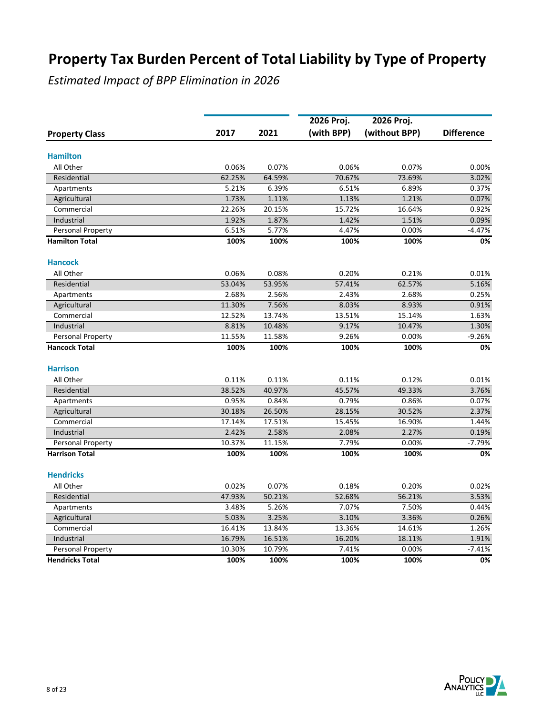|                          |        |        | 2026 Proj. | 2026 Proj.    |                   |
|--------------------------|--------|--------|------------|---------------|-------------------|
| <b>Property Class</b>    | 2017   | 2021   | (with BPP) | (without BPP) | <b>Difference</b> |
| <b>Hamilton</b>          |        |        |            |               |                   |
| All Other                | 0.06%  | 0.07%  | 0.06%      | 0.07%         | 0.00%             |
| Residential              | 62.25% | 64.59% | 70.67%     | 73.69%        | 3.02%             |
| Apartments               | 5.21%  | 6.39%  | 6.51%      | 6.89%         | 0.37%             |
| Agricultural             | 1.73%  | 1.11%  | 1.13%      | 1.21%         | 0.07%             |
| Commercial               | 22.26% | 20.15% | 15.72%     | 16.64%        | 0.92%             |
| Industrial               | 1.92%  | 1.87%  | 1.42%      | 1.51%         | 0.09%             |
| Personal Property        | 6.51%  | 5.77%  | 4.47%      | 0.00%         | $-4.47%$          |
| <b>Hamilton Total</b>    | 100%   | 100%   | 100%       | 100%          | 0%                |
| <b>Hancock</b>           |        |        |            |               |                   |
| All Other                | 0.06%  | 0.08%  | 0.20%      | 0.21%         | 0.01%             |
| Residential              | 53.04% | 53.95% | 57.41%     | 62.57%        | 5.16%             |
| Apartments               | 2.68%  | 2.56%  | 2.43%      | 2.68%         | 0.25%             |
| Agricultural             | 11.30% | 7.56%  | 8.03%      | 8.93%         | 0.91%             |
| Commercial               | 12.52% | 13.74% | 13.51%     | 15.14%        | 1.63%             |
| Industrial               | 8.81%  | 10.48% | 9.17%      | 10.47%        | 1.30%             |
| Personal Property        | 11.55% | 11.58% | 9.26%      | 0.00%         | $-9.26%$          |
| <b>Hancock Total</b>     | 100%   | 100%   | 100%       | 100%          | 0%                |
| <b>Harrison</b>          |        |        |            |               |                   |
| All Other                | 0.11%  | 0.11%  | 0.11%      | 0.12%         | 0.01%             |
| Residential              | 38.52% | 40.97% | 45.57%     | 49.33%        | 3.76%             |
| Apartments               | 0.95%  | 0.84%  | 0.79%      | 0.86%         | 0.07%             |
| Agricultural             | 30.18% | 26.50% | 28.15%     | 30.52%        | 2.37%             |
| Commercial               | 17.14% | 17.51% | 15.45%     | 16.90%        | 1.44%             |
| Industrial               | 2.42%  | 2.58%  | 2.08%      | 2.27%         | 0.19%             |
| Personal Property        | 10.37% | 11.15% | 7.79%      | 0.00%         | $-7.79%$          |
| <b>Harrison Total</b>    | 100%   | 100%   | 100%       | 100%          | 0%                |
| <b>Hendricks</b>         |        |        |            |               |                   |
| All Other                | 0.02%  | 0.07%  | 0.18%      | 0.20%         | 0.02%             |
| Residential              | 47.93% | 50.21% | 52.68%     | 56.21%        | 3.53%             |
| Apartments               | 3.48%  | 5.26%  | 7.07%      | 7.50%         | 0.44%             |
| Agricultural             | 5.03%  | 3.25%  | 3.10%      | 3.36%         | 0.26%             |
| Commercial               | 16.41% | 13.84% | 13.36%     | 14.61%        | 1.26%             |
| Industrial               | 16.79% | 16.51% | 16.20%     | 18.11%        | 1.91%             |
| <b>Personal Property</b> | 10.30% | 10.79% | 7.41%      | 0.00%         | $-7.41%$          |
| <b>Hendricks Total</b>   | 100%   | 100%   | 100%       | 100%          | 0%                |

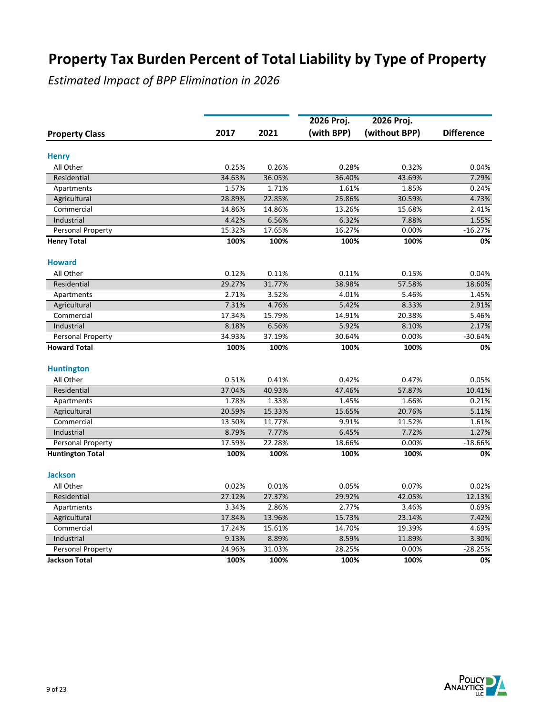|                          |        |        | 2026 Proj. | 2026 Proj.    |                   |
|--------------------------|--------|--------|------------|---------------|-------------------|
| <b>Property Class</b>    | 2017   | 2021   | (with BPP) | (without BPP) | <b>Difference</b> |
|                          |        |        |            |               |                   |
| <b>Henry</b>             |        |        |            |               |                   |
| All Other                | 0.25%  | 0.26%  | 0.28%      | 0.32%         | 0.04%             |
| Residential              | 34.63% | 36.05% | 36.40%     | 43.69%        | 7.29%             |
| Apartments               | 1.57%  | 1.71%  | 1.61%      | 1.85%         | 0.24%             |
| Agricultural             | 28.89% | 22.85% | 25.86%     | 30.59%        | 4.73%             |
| Commercial               | 14.86% | 14.86% | 13.26%     | 15.68%        | 2.41%             |
| Industrial               | 4.42%  | 6.56%  | 6.32%      | 7.88%         | 1.55%             |
| Personal Property        | 15.32% | 17.65% | 16.27%     | 0.00%         | $-16.27%$         |
| <b>Henry Total</b>       | 100%   | 100%   | 100%       | 100%          | 0%                |
| <b>Howard</b>            |        |        |            |               |                   |
| All Other                | 0.12%  | 0.11%  | 0.11%      | 0.15%         | 0.04%             |
| Residential              | 29.27% | 31.77% | 38.98%     | 57.58%        | 18.60%            |
| Apartments               | 2.71%  | 3.52%  | 4.01%      | 5.46%         | 1.45%             |
| Agricultural             | 7.31%  | 4.76%  | 5.42%      | 8.33%         | 2.91%             |
| Commercial               | 17.34% | 15.79% | 14.91%     | 20.38%        | 5.46%             |
| Industrial               | 8.18%  | 6.56%  | 5.92%      | 8.10%         | 2.17%             |
| <b>Personal Property</b> | 34.93% | 37.19% | 30.64%     | 0.00%         | $-30.64%$         |
| <b>Howard Total</b>      | 100%   | 100%   | 100%       | 100%          | 0%                |
| <b>Huntington</b>        |        |        |            |               |                   |
| All Other                | 0.51%  | 0.41%  | 0.42%      | 0.47%         | 0.05%             |
| Residential              | 37.04% | 40.93% | 47.46%     | 57.87%        | 10.41%            |
| Apartments               | 1.78%  | 1.33%  | 1.45%      | 1.66%         | 0.21%             |
| Agricultural             | 20.59% | 15.33% | 15.65%     | 20.76%        | 5.11%             |
| Commercial               | 13.50% | 11.77% | 9.91%      | 11.52%        | 1.61%             |
| Industrial               | 8.79%  | 7.77%  | 6.45%      | 7.72%         | 1.27%             |
| Personal Property        | 17.59% | 22.28% | 18.66%     | 0.00%         | $-18.66%$         |
| <b>Huntington Total</b>  | 100%   | 100%   | 100%       | 100%          | 0%                |
| <b>Jackson</b>           |        |        |            |               |                   |
| All Other                | 0.02%  | 0.01%  | 0.05%      | 0.07%         | 0.02%             |
| Residential              | 27.12% | 27.37% | 29.92%     | 42.05%        | 12.13%            |
| Apartments               | 3.34%  | 2.86%  | 2.77%      | 3.46%         | 0.69%             |
| Agricultural             | 17.84% | 13.96% | 15.73%     | 23.14%        | 7.42%             |
| Commercial               | 17.24% | 15.61% | 14.70%     | 19.39%        | 4.69%             |
| Industrial               | 9.13%  | 8.89%  | 8.59%      | 11.89%        | 3.30%             |
| Personal Property        | 24.96% | 31.03% | 28.25%     | 0.00%         | $-28.25%$         |
| <b>Jackson Total</b>     | 100%   | 100%   | 100%       | 100%          | 0%                |
|                          |        |        |            |               |                   |

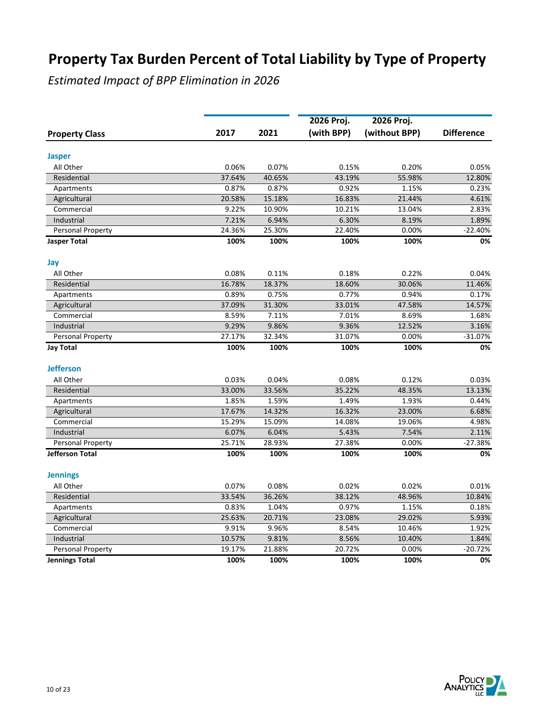|                          |        |        | 2026 Proj. | 2026 Proj.    |                   |
|--------------------------|--------|--------|------------|---------------|-------------------|
| <b>Property Class</b>    | 2017   | 2021   | (with BPP) | (without BPP) | <b>Difference</b> |
|                          |        |        |            |               |                   |
| <b>Jasper</b>            |        |        |            |               |                   |
| All Other                | 0.06%  | 0.07%  | 0.15%      | 0.20%         | 0.05%             |
| Residential              | 37.64% | 40.65% | 43.19%     | 55.98%        | 12.80%            |
| Apartments               | 0.87%  | 0.87%  | 0.92%      | 1.15%         | 0.23%             |
| Agricultural             | 20.58% | 15.18% | 16.83%     | 21.44%        | 4.61%             |
| Commercial               | 9.22%  | 10.90% | 10.21%     | 13.04%        | 2.83%             |
| Industrial               | 7.21%  | 6.94%  | 6.30%      | 8.19%         | 1.89%             |
| Personal Property        | 24.36% | 25.30% | 22.40%     | 0.00%         | $-22.40%$         |
| <b>Jasper Total</b>      | 100%   | 100%   | 100%       | 100%          | 0%                |
| Jay                      |        |        |            |               |                   |
| All Other                | 0.08%  | 0.11%  | 0.18%      | 0.22%         | 0.04%             |
| Residential              | 16.78% | 18.37% | 18.60%     | 30.06%        | 11.46%            |
| Apartments               | 0.89%  | 0.75%  | 0.77%      | 0.94%         | 0.17%             |
| Agricultural             | 37.09% | 31.30% | 33.01%     | 47.58%        | 14.57%            |
| Commercial               | 8.59%  | 7.11%  | 7.01%      | 8.69%         | 1.68%             |
| Industrial               | 9.29%  | 9.86%  | 9.36%      | 12.52%        | 3.16%             |
| Personal Property        | 27.17% | 32.34% | 31.07%     | 0.00%         | $-31.07%$         |
| <b>Jay Total</b>         | 100%   | 100%   | 100%       | 100%          | 0%                |
| <b>Jefferson</b>         |        |        |            |               |                   |
| All Other                | 0.03%  | 0.04%  | 0.08%      | 0.12%         | 0.03%             |
| Residential              | 33.00% | 33.56% | 35.22%     | 48.35%        | 13.13%            |
| Apartments               | 1.85%  | 1.59%  | 1.49%      | 1.93%         | 0.44%             |
| Agricultural             | 17.67% | 14.32% | 16.32%     | 23.00%        | 6.68%             |
| Commercial               | 15.29% | 15.09% | 14.08%     | 19.06%        | 4.98%             |
| Industrial               | 6.07%  | 6.04%  | 5.43%      | 7.54%         | 2.11%             |
| <b>Personal Property</b> | 25.71% | 28.93% | 27.38%     | 0.00%         | $-27.38%$         |
| Jefferson Total          | 100%   | 100%   | 100%       | 100%          | 0%                |
| <b>Jennings</b>          |        |        |            |               |                   |
| All Other                | 0.07%  | 0.08%  | 0.02%      | 0.02%         | 0.01%             |
| Residential              | 33.54% | 36.26% | 38.12%     | 48.96%        | 10.84%            |
| Apartments               | 0.83%  | 1.04%  | 0.97%      | 1.15%         | 0.18%             |
| Agricultural             | 25.63% | 20.71% | 23.08%     | 29.02%        | 5.93%             |
| Commercial               | 9.91%  | 9.96%  | 8.54%      | 10.46%        | 1.92%             |
| Industrial               | 10.57% | 9.81%  | 8.56%      | 10.40%        | 1.84%             |
| Personal Property        | 19.17% | 21.88% | 20.72%     | 0.00%         | $-20.72%$         |
| <b>Jennings Total</b>    | 100%   | 100%   | 100%       | 100%          | 0%                |

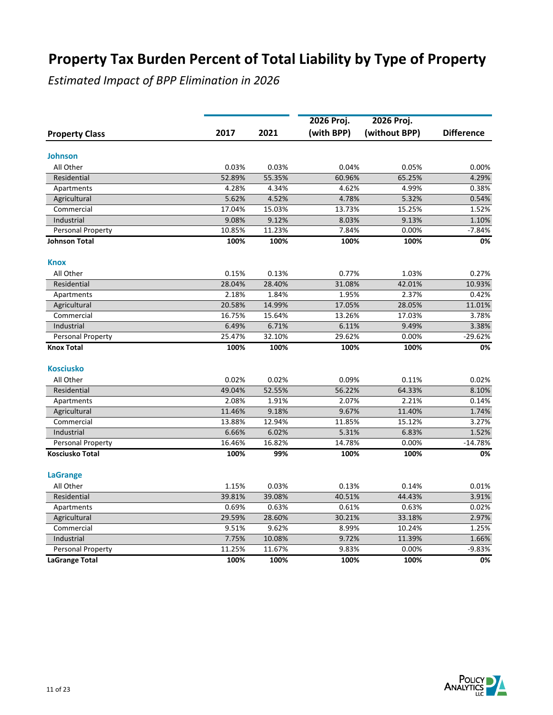|                            |        |                 | 2026 Proj. | 2026 Proj.    |                   |
|----------------------------|--------|-----------------|------------|---------------|-------------------|
| <b>Property Class</b>      | 2017   | 2021            | (with BPP) | (without BPP) | <b>Difference</b> |
| <b>Johnson</b>             |        |                 |            |               |                   |
| All Other                  | 0.03%  | 0.03%           | 0.04%      | 0.05%         | 0.00%             |
| Residential                | 52.89% | 55.35%          | 60.96%     | 65.25%        | 4.29%             |
| Apartments                 | 4.28%  | 4.34%           | 4.62%      | 4.99%         | 0.38%             |
|                            |        |                 |            |               |                   |
| Agricultural<br>Commercial | 5.62%  | 4.52%<br>15.03% | 4.78%      | 5.32%         | 0.54%<br>1.52%    |
|                            | 17.04% |                 | 13.73%     | 15.25%        |                   |
| Industrial                 | 9.08%  | 9.12%<br>11.23% | 8.03%      | 9.13%         | 1.10%<br>$-7.84%$ |
| Personal Property          | 10.85% |                 | 7.84%      | 0.00%         |                   |
| Johnson Total              | 100%   | 100%            | 100%       | 100%          | 0%                |
| <b>Knox</b>                |        |                 |            |               |                   |
| All Other                  | 0.15%  | 0.13%           | 0.77%      | 1.03%         | 0.27%             |
| Residential                | 28.04% | 28.40%          | 31.08%     | 42.01%        | 10.93%            |
| Apartments                 | 2.18%  | 1.84%           | 1.95%      | 2.37%         | 0.42%             |
| Agricultural               | 20.58% | 14.99%          | 17.05%     | 28.05%        | 11.01%            |
| Commercial                 | 16.75% | 15.64%          | 13.26%     | 17.03%        | 3.78%             |
| Industrial                 | 6.49%  | 6.71%           | 6.11%      | 9.49%         | 3.38%             |
| Personal Property          | 25.47% | 32.10%          | 29.62%     | 0.00%         | $-29.62%$         |
| <b>Knox Total</b>          | 100%   | 100%            | 100%       | 100%          | 0%                |
| <b>Kosciusko</b>           |        |                 |            |               |                   |
| All Other                  | 0.02%  | 0.02%           | 0.09%      | 0.11%         | 0.02%             |
| Residential                | 49.04% | 52.55%          | 56.22%     | 64.33%        | 8.10%             |
| Apartments                 | 2.08%  | 1.91%           | 2.07%      | 2.21%         | 0.14%             |
| Agricultural               | 11.46% | 9.18%           | 9.67%      | 11.40%        | 1.74%             |
| Commercial                 | 13.88% | 12.94%          | 11.85%     | 15.12%        | 3.27%             |
| Industrial                 | 6.66%  | 6.02%           | 5.31%      | 6.83%         | 1.52%             |
| Personal Property          | 16.46% | 16.82%          | 14.78%     | 0.00%         | $-14.78%$         |
| <b>Kosciusko Total</b>     | 100%   | 99%             | 100%       | 100%          | 0%                |
|                            |        |                 |            |               |                   |
| <b>LaGrange</b>            |        |                 |            |               |                   |
| All Other                  | 1.15%  | 0.03%           | 0.13%      | 0.14%         | 0.01%             |
| Residential                | 39.81% | 39.08%          | 40.51%     | 44.43%        | 3.91%             |
| Apartments                 | 0.69%  | 0.63%           | 0.61%      | 0.63%         | 0.02%             |
| Agricultural               | 29.59% | 28.60%          | 30.21%     | 33.18%        | 2.97%             |
| Commercial                 | 9.51%  | 9.62%           | 8.99%      | 10.24%        | 1.25%             |
| Industrial                 | 7.75%  | 10.08%          | 9.72%      | 11.39%        | 1.66%             |
| Personal Property          | 11.25% | 11.67%          | 9.83%      | 0.00%         | $-9.83%$          |
| <b>LaGrange Total</b>      | 100%   | 100%            | 100%       | 100%          | 0%                |

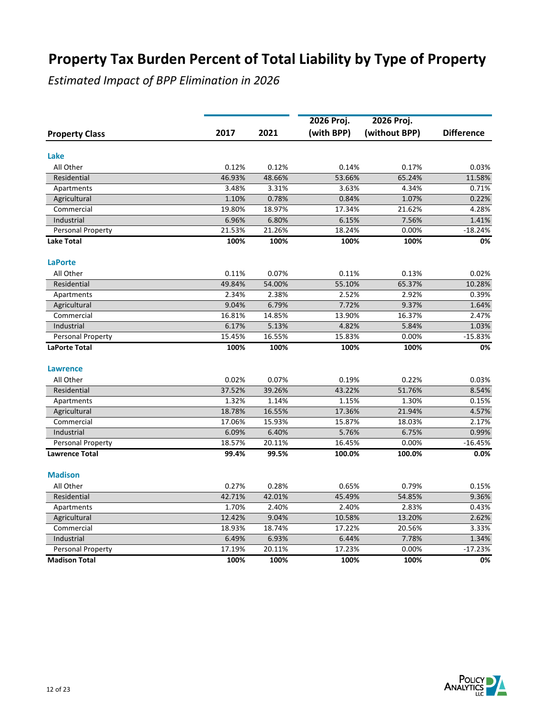|                          |        |                 | 2026 Proj.      | 2026 Proj.    |                   |
|--------------------------|--------|-----------------|-----------------|---------------|-------------------|
| <b>Property Class</b>    | 2017   | 2021            | (with BPP)      | (without BPP) | <b>Difference</b> |
| Lake                     |        |                 |                 |               |                   |
| All Other                | 0.12%  | 0.12%           | 0.14%           | 0.17%         | 0.03%             |
|                          | 46.93% | 48.66%          | 53.66%          |               |                   |
| Residential              |        |                 |                 | 65.24%        | 11.58%            |
| Apartments               | 3.48%  | 3.31%           | 3.63%           | 4.34%         | 0.71%             |
| Agricultural             | 1.10%  | 0.78%<br>18.97% | 0.84%<br>17.34% | 1.07%         | 0.22%<br>4.28%    |
| Commercial<br>Industrial | 19.80% |                 |                 | 21.62%        |                   |
|                          | 6.96%  | 6.80%           | 6.15%           | 7.56%         | 1.41%             |
| Personal Property        | 21.53% | 21.26%          | 18.24%          | 0.00%         | $-18.24%$         |
| <b>Lake Total</b>        | 100%   | 100%            | 100%            | 100%          | 0%                |
| <b>LaPorte</b>           |        |                 |                 |               |                   |
| All Other                | 0.11%  | 0.07%           | 0.11%           | 0.13%         | 0.02%             |
| Residential              | 49.84% | 54.00%          | 55.10%          | 65.37%        | 10.28%            |
| Apartments               | 2.34%  | 2.38%           | 2.52%           | 2.92%         | 0.39%             |
| Agricultural             | 9.04%  | 6.79%           | 7.72%           | 9.37%         | 1.64%             |
| Commercial               | 16.81% | 14.85%          | 13.90%          | 16.37%        | 2.47%             |
| Industrial               | 6.17%  | 5.13%           | 4.82%           | 5.84%         | 1.03%             |
| Personal Property        | 15.45% | 16.55%          | 15.83%          | 0.00%         | $-15.83%$         |
| <b>LaPorte Total</b>     | 100%   | 100%            | 100%            | 100%          | 0%                |
| <b>Lawrence</b>          |        |                 |                 |               |                   |
| All Other                | 0.02%  | 0.07%           | 0.19%           | 0.22%         | 0.03%             |
| Residential              | 37.52% | 39.26%          | 43.22%          | 51.76%        | 8.54%             |
| Apartments               | 1.32%  | 1.14%           | 1.15%           | 1.30%         | 0.15%             |
| Agricultural             | 18.78% | 16.55%          | 17.36%          | 21.94%        | 4.57%             |
| Commercial               | 17.06% | 15.93%          | 15.87%          | 18.03%        | 2.17%             |
| Industrial               | 6.09%  | 6.40%           | 5.76%           | 6.75%         | 0.99%             |
| <b>Personal Property</b> | 18.57% | 20.11%          | 16.45%          | 0.00%         | $-16.45%$         |
| <b>Lawrence Total</b>    | 99.4%  | 99.5%           | 100.0%          | 100.0%        | 0.0%              |
| <b>Madison</b>           |        |                 |                 |               |                   |
|                          |        | 0.28%           | 0.65%           |               |                   |
| All Other                | 0.27%  |                 |                 | 0.79%         | 0.15%             |
| Residential              | 42.71% | 42.01%          | 45.49%          | 54.85%        | 9.36%             |
| Apartments               | 1.70%  | 2.40%           | 2.40%           | 2.83%         | 0.43%             |
| Agricultural             | 12.42% | 9.04%           | 10.58%          | 13.20%        | 2.62%             |
| Commercial               | 18.93% | 18.74%          | 17.22%          | 20.56%        | 3.33%             |
| Industrial               | 6.49%  | 6.93%           | 6.44%           | 7.78%         | 1.34%             |
| Personal Property        | 17.19% | 20.11%          | 17.23%          | 0.00%         | $-17.23%$         |
| <b>Madison Total</b>     | 100%   | 100%            | 100%            | 100%          | 0%                |

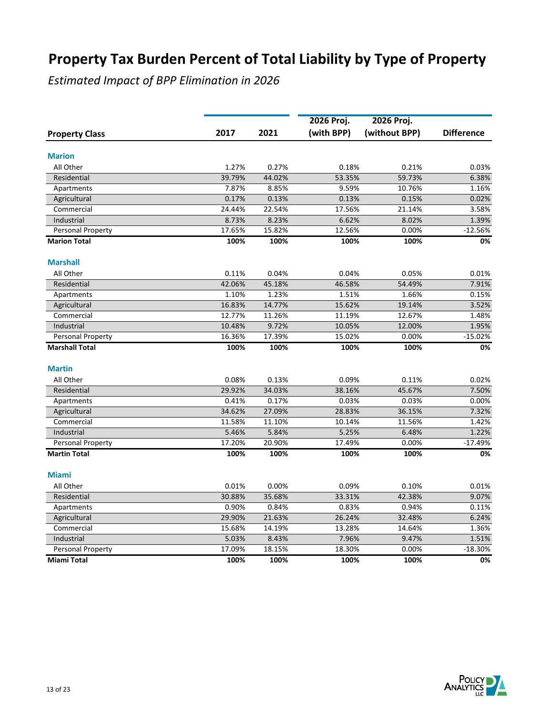|                          |                 |                 | 2026 Proj.      | 2026 Proj.      |                   |
|--------------------------|-----------------|-----------------|-----------------|-----------------|-------------------|
| <b>Property Class</b>    | 2017            | 2021            | (with BPP)      | (without BPP)   | <b>Difference</b> |
|                          |                 |                 |                 |                 |                   |
| <b>Marion</b>            |                 |                 |                 |                 |                   |
| All Other                | 1.27%           | 0.27%           | 0.18%           | 0.21%           | 0.03%             |
| Residential              | 39.79%          | 44.02%          | 53.35%          | 59.73%          | 6.38%             |
| Apartments               | 7.87%           | 8.85%           | 9.59%           | 10.76%          | 1.16%             |
| Agricultural             | 0.17%           | 0.13%           | 0.13%           | 0.15%           | 0.02%             |
| Commercial               | 24.44%<br>8.73% | 22.54%<br>8.23% | 17.56%<br>6.62% | 21.14%<br>8.02% | 3.58%<br>1.39%    |
| Industrial               |                 |                 |                 |                 |                   |
| Personal Property        | 17.65%          | 15.82%          | 12.56%          | 0.00%           | $-12.56%$         |
| <b>Marion Total</b>      | 100%            | 100%            | 100%            | 100%            | 0%                |
| <b>Marshall</b>          |                 |                 |                 |                 |                   |
| All Other                | 0.11%           | 0.04%           | 0.04%           | 0.05%           | 0.01%             |
| Residential              | 42.06%          | 45.18%          | 46.58%          | 54.49%          | 7.91%             |
| Apartments               | 1.10%           | 1.23%           | 1.51%           | 1.66%           | 0.15%             |
| Agricultural             | 16.83%          | 14.77%          | 15.62%          | 19.14%          | 3.52%             |
| Commercial               | 12.77%          | 11.26%          | 11.19%          | 12.67%          | 1.48%             |
| Industrial               | 10.48%          | 9.72%           | 10.05%          | 12.00%          | 1.95%             |
| <b>Personal Property</b> | 16.36%          | 17.39%          | 15.02%          | 0.00%           | $-15.02%$         |
| <b>Marshall Total</b>    | 100%            | 100%            | 100%            | 100%            | 0%                |
| <b>Martin</b>            |                 |                 |                 |                 |                   |
| All Other                | 0.08%           | 0.13%           | 0.09%           | 0.11%           | 0.02%             |
| Residential              | 29.92%          | 34.03%          | 38.16%          | 45.67%          | 7.50%             |
| Apartments               | 0.41%           | 0.17%           | 0.03%           | 0.03%           | 0.00%             |
| Agricultural             | 34.62%          | 27.09%          | 28.83%          | 36.15%          | 7.32%             |
| Commercial               | 11.58%          | 11.10%          | 10.14%          | 11.56%          | 1.42%             |
| Industrial               | 5.46%           | 5.84%           | 5.25%           | 6.48%           | 1.22%             |
| Personal Property        | 17.20%          | 20.90%          | 17.49%          | 0.00%           | $-17.49%$         |
| <b>Martin Total</b>      | 100%            | 100%            | 100%            | 100%            | 0%                |
| <b>Miami</b>             |                 |                 |                 |                 |                   |
| All Other                | 0.01%           | 0.00%           | 0.09%           | 0.10%           | 0.01%             |
| Residential              | 30.88%          | 35.68%          | 33.31%          | 42.38%          | 9.07%             |
| Apartments               | 0.90%           | 0.84%           | 0.83%           | 0.94%           | 0.11%             |
| Agricultural             | 29.90%          | 21.63%          | 26.24%          | 32.48%          | 6.24%             |
| Commercial               | 15.68%          | 14.19%          | 13.28%          | 14.64%          | 1.36%             |
| Industrial               | 5.03%           | 8.43%           | 7.96%           | 9.47%           | 1.51%             |
| Personal Property        | 17.09%          | 18.15%          | 18.30%          | 0.00%           | $-18.30%$         |
| <b>Miami Total</b>       | 100%            | 100%            | 100%            | 100%            | 0%                |
|                          |                 |                 |                 |                 |                   |

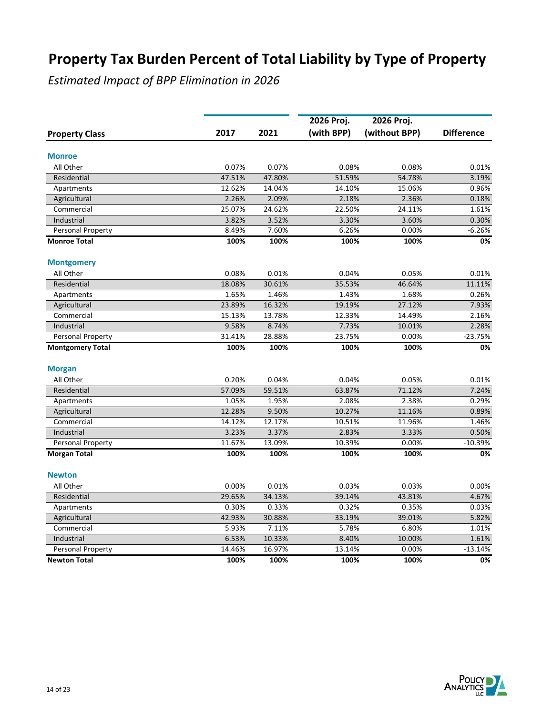|                         |        |        | 2026 Proj. | 2026 Proj.    |                   |
|-------------------------|--------|--------|------------|---------------|-------------------|
| <b>Property Class</b>   | 2017   | 2021   | (with BPP) | (without BPP) | <b>Difference</b> |
| <b>Monroe</b>           |        |        |            |               |                   |
| All Other               | 0.07%  | 0.07%  | 0.08%      | 0.08%         | 0.01%             |
| Residential             | 47.51% | 47.80% | 51.59%     | 54.78%        | 3.19%             |
| Apartments              | 12.62% | 14.04% | 14.10%     | 15.06%        | 0.96%             |
| Agricultural            | 2.26%  | 2.09%  | 2.18%      | 2.36%         | 0.18%             |
| Commercial              | 25.07% | 24.62% | 22.50%     | 24.11%        | 1.61%             |
| Industrial              | 3.82%  | 3.52%  | 3.30%      | 3.60%         | 0.30%             |
| Personal Property       | 8.49%  | 7.60%  | 6.26%      | 0.00%         | $-6.26%$          |
| <b>Monroe Total</b>     | 100%   | 100%   | 100%       | 100%          | 0%                |
| <b>Montgomery</b>       |        |        |            |               |                   |
| All Other               | 0.08%  | 0.01%  | 0.04%      | 0.05%         | 0.01%             |
| Residential             | 18.08% | 30.61% | 35.53%     | 46.64%        | 11.11%            |
| Apartments              | 1.65%  | 1.46%  | 1.43%      | 1.68%         | 0.26%             |
| Agricultural            | 23.89% | 16.32% | 19.19%     | 27.12%        | 7.93%             |
| Commercial              | 15.13% | 13.78% | 12.33%     | 14.49%        | 2.16%             |
| Industrial              | 9.58%  | 8.74%  | 7.73%      | 10.01%        | 2.28%             |
| Personal Property       | 31.41% | 28.88% | 23.75%     | 0.00%         | $-23.75%$         |
| <b>Montgomery Total</b> | 100%   | 100%   | 100%       | 100%          | 0%                |
| <b>Morgan</b>           |        |        |            |               |                   |
| All Other               | 0.20%  | 0.04%  | 0.04%      | 0.05%         | 0.01%             |
| Residential             | 57.09% | 59.51% | 63.87%     | 71.12%        | 7.24%             |
| Apartments              | 1.05%  | 1.95%  | 2.08%      | 2.38%         | 0.29%             |
| Agricultural            | 12.28% | 9.50%  | 10.27%     | 11.16%        | 0.89%             |
| Commercial              | 14.12% | 12.17% | 10.51%     | 11.96%        | 1.46%             |
| Industrial              | 3.23%  | 3.37%  | 2.83%      | 3.33%         | 0.50%             |
| Personal Property       | 11.67% | 13.09% | 10.39%     | 0.00%         | $-10.39%$         |
| <b>Morgan Total</b>     | 100%   | 100%   | 100%       | 100%          | 0%                |
| <b>Newton</b>           |        |        |            |               |                   |
| All Other               | 0.00%  | 0.01%  | 0.03%      | 0.03%         | 0.00%             |
| Residential             | 29.65% | 34.13% | 39.14%     | 43.81%        | 4.67%             |
| Apartments              | 0.30%  | 0.33%  | 0.32%      | 0.35%         | 0.03%             |
| Agricultural            | 42.93% | 30.88% | 33.19%     | 39.01%        | 5.82%             |
| Commercial              | 5.93%  | 7.11%  | 5.78%      | 6.80%         | 1.01%             |
| Industrial              | 6.53%  | 10.33% | 8.40%      | 10.00%        | 1.61%             |
| Personal Property       | 14.46% | 16.97% | 13.14%     | 0.00%         | $-13.14%$         |
| <b>Newton Total</b>     | 100%   | 100%   | 100%       | 100%          | 0%                |

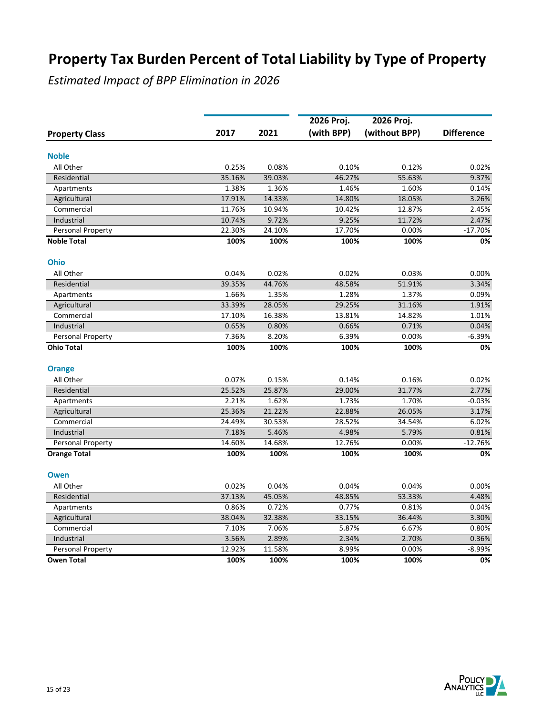|                       |        |        | 2026 Proj. | 2026 Proj.    |                   |
|-----------------------|--------|--------|------------|---------------|-------------------|
| <b>Property Class</b> | 2017   | 2021   | (with BPP) | (without BPP) | <b>Difference</b> |
| <b>Noble</b>          |        |        |            |               |                   |
| All Other             | 0.25%  | 0.08%  | 0.10%      | 0.12%         | 0.02%             |
| Residential           | 35.16% | 39.03% | 46.27%     | 55.63%        | 9.37%             |
| Apartments            | 1.38%  | 1.36%  | 1.46%      | 1.60%         | 0.14%             |
| Agricultural          | 17.91% | 14.33% | 14.80%     | 18.05%        | 3.26%             |
| Commercial            | 11.76% | 10.94% | 10.42%     | 12.87%        | 2.45%             |
| Industrial            | 10.74% | 9.72%  | 9.25%      | 11.72%        | 2.47%             |
| Personal Property     | 22.30% | 24.10% | 17.70%     | 0.00%         | $-17.70%$         |
| <b>Noble Total</b>    | 100%   | 100%   | 100%       | 100%          | 0%                |
| <b>Ohio</b>           |        |        |            |               |                   |
| All Other             | 0.04%  | 0.02%  | 0.02%      | 0.03%         | 0.00%             |
| Residential           | 39.35% | 44.76% | 48.58%     | 51.91%        | 3.34%             |
| Apartments            | 1.66%  | 1.35%  | 1.28%      | 1.37%         | 0.09%             |
| Agricultural          | 33.39% | 28.05% | 29.25%     | 31.16%        | 1.91%             |
| Commercial            | 17.10% | 16.38% | 13.81%     | 14.82%        | 1.01%             |
| Industrial            | 0.65%  | 0.80%  | 0.66%      | 0.71%         | 0.04%             |
| Personal Property     | 7.36%  | 8.20%  | 6.39%      | 0.00%         | $-6.39%$          |
| <b>Ohio Total</b>     | 100%   | 100%   | 100%       | 100%          | 0%                |
| <b>Orange</b>         |        |        |            |               |                   |
| All Other             | 0.07%  | 0.15%  | 0.14%      | 0.16%         | 0.02%             |
| Residential           | 25.52% | 25.87% | 29.00%     | 31.77%        | 2.77%             |
| Apartments            | 2.21%  | 1.62%  | 1.73%      | 1.70%         | $-0.03%$          |
| Agricultural          | 25.36% | 21.22% | 22.88%     | 26.05%        | 3.17%             |
| Commercial            | 24.49% | 30.53% | 28.52%     | 34.54%        | 6.02%             |
| Industrial            | 7.18%  | 5.46%  | 4.98%      | 5.79%         | 0.81%             |
| Personal Property     | 14.60% | 14.68% | 12.76%     | 0.00%         | $-12.76%$         |
| <b>Orange Total</b>   | 100%   | 100%   | 100%       | 100%          | 0%                |
| <b>Owen</b>           |        |        |            |               |                   |
| All Other             | 0.02%  | 0.04%  | 0.04%      | 0.04%         | 0.00%             |
| Residential           | 37.13% | 45.05% | 48.85%     | 53.33%        | 4.48%             |
| Apartments            | 0.86%  | 0.72%  | 0.77%      | 0.81%         | 0.04%             |
| Agricultural          | 38.04% | 32.38% | 33.15%     | 36.44%        | 3.30%             |
| Commercial            | 7.10%  | 7.06%  | 5.87%      | 6.67%         | 0.80%             |
| Industrial            | 3.56%  | 2.89%  | 2.34%      | 2.70%         | 0.36%             |
| Personal Property     | 12.92% | 11.58% | 8.99%      | 0.00%         | $-8.99%$          |
| <b>Owen Total</b>     | 100%   | 100%   | 100%       | 100%          | 0%                |

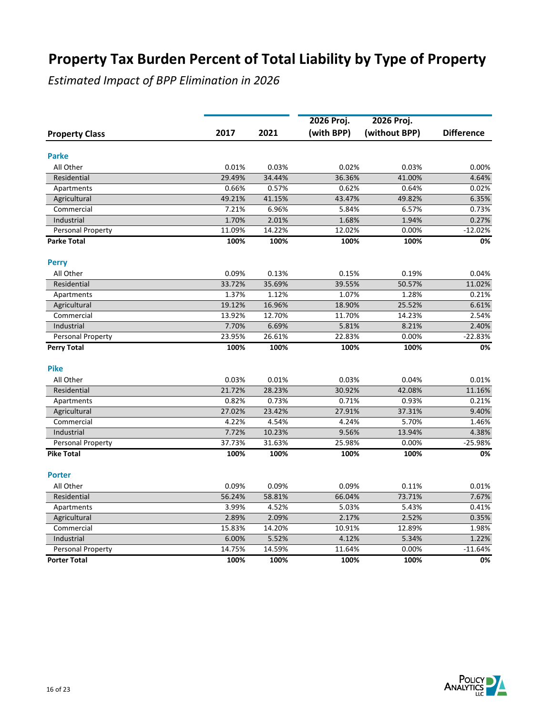|                          |        |        | 2026 Proj. | 2026 Proj.    |                   |  |
|--------------------------|--------|--------|------------|---------------|-------------------|--|
| <b>Property Class</b>    | 2017   | 2021   | (with BPP) | (without BPP) | <b>Difference</b> |  |
| <b>Parke</b>             |        |        |            |               |                   |  |
| All Other                | 0.01%  | 0.03%  | 0.02%      | 0.03%         | 0.00%             |  |
| Residential              | 29.49% | 34.44% | 36.36%     | 41.00%        | 4.64%             |  |
| Apartments               | 0.66%  | 0.57%  | 0.62%      | 0.64%         | 0.02%             |  |
| Agricultural             | 49.21% | 41.15% | 43.47%     | 49.82%        | 6.35%             |  |
| Commercial               | 7.21%  | 6.96%  | 5.84%      | 6.57%         | 0.73%             |  |
| Industrial               | 1.70%  | 2.01%  | 1.68%      | 1.94%         | 0.27%             |  |
| Personal Property        | 11.09% | 14.22% | 12.02%     | 0.00%         | $-12.02%$         |  |
| <b>Parke Total</b>       | 100%   | 100%   | 100%       | 100%          | 0%                |  |
| <b>Perry</b>             |        |        |            |               |                   |  |
| All Other                | 0.09%  | 0.13%  | 0.15%      | 0.19%         | 0.04%             |  |
| Residential              | 33.72% | 35.69% | 39.55%     | 50.57%        | 11.02%            |  |
| Apartments               | 1.37%  | 1.12%  | 1.07%      | 1.28%         | 0.21%             |  |
| Agricultural             | 19.12% | 16.96% | 18.90%     | 25.52%        | 6.61%             |  |
| Commercial               | 13.92% | 12.70% | 11.70%     | 14.23%        | 2.54%             |  |
| Industrial               | 7.70%  | 6.69%  | 5.81%      | 8.21%         | 2.40%             |  |
| <b>Personal Property</b> | 23.95% | 26.61% | 22.83%     | 0.00%         | $-22.83%$         |  |
| <b>Perry Total</b>       | 100%   | 100%   | 100%       | 100%          | 0%                |  |
| <b>Pike</b>              |        |        |            |               |                   |  |
| All Other                | 0.03%  | 0.01%  | 0.03%      | 0.04%         | 0.01%             |  |
| Residential              | 21.72% | 28.23% | 30.92%     | 42.08%        | 11.16%            |  |
| Apartments               | 0.82%  | 0.73%  | 0.71%      | 0.93%         | 0.21%             |  |
| Agricultural             | 27.02% | 23.42% | 27.91%     | 37.31%        | 9.40%             |  |
| Commercial               | 4.22%  | 4.54%  | 4.24%      | 5.70%         | 1.46%             |  |
| Industrial               | 7.72%  | 10.23% | 9.56%      | 13.94%        | 4.38%             |  |
| <b>Personal Property</b> | 37.73% | 31.63% | 25.98%     | 0.00%         | $-25.98%$         |  |
| <b>Pike Total</b>        | 100%   | 100%   | 100%       | 100%          | 0%                |  |
| <b>Porter</b>            |        |        |            |               |                   |  |
| All Other                | 0.09%  | 0.09%  | 0.09%      | 0.11%         | 0.01%             |  |
| Residential              | 56.24% | 58.81% | 66.04%     | 73.71%        | 7.67%             |  |
| Apartments               | 3.99%  | 4.52%  | 5.03%      | 5.43%         | 0.41%             |  |
| Agricultural             | 2.89%  | 2.09%  | 2.17%      | 2.52%         | 0.35%             |  |
| Commercial               | 15.83% | 14.20% | 10.91%     | 12.89%        | 1.98%             |  |
| Industrial               | 6.00%  | 5.52%  | 4.12%      | 5.34%         | 1.22%             |  |
| Personal Property        | 14.75% | 14.59% | 11.64%     | 0.00%         | $-11.64%$         |  |
| <b>Porter Total</b>      | 100%   | 100%   | 100%       | 100%          | 0%                |  |

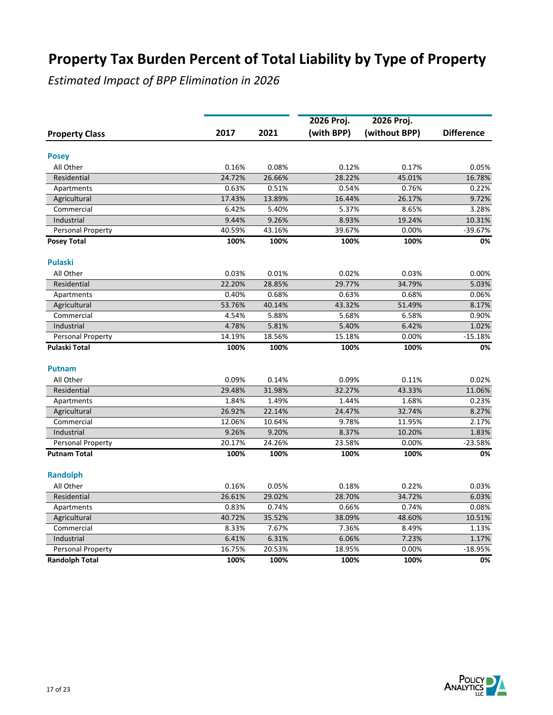|                          |        |        | 2026 Proj. | 2026 Proj.    |                   |
|--------------------------|--------|--------|------------|---------------|-------------------|
| <b>Property Class</b>    | 2017   | 2021   | (with BPP) | (without BPP) | <b>Difference</b> |
| <b>Posey</b>             |        |        |            |               |                   |
| All Other                | 0.16%  | 0.08%  | 0.12%      | 0.17%         | 0.05%             |
| Residential              | 24.72% | 26.66% | 28.22%     | 45.01%        | 16.78%            |
| Apartments               | 0.63%  | 0.51%  | 0.54%      | 0.76%         | 0.22%             |
| Agricultural             | 17.43% | 13.89% | 16.44%     | 26.17%        | 9.72%             |
| Commercial               | 6.42%  | 5.40%  | 5.37%      | 8.65%         | 3.28%             |
| Industrial               | 9.44%  | 9.26%  | 8.93%      | 19.24%        | 10.31%            |
| Personal Property        | 40.59% | 43.16% | 39.67%     | 0.00%         | $-39.67%$         |
| <b>Posey Total</b>       | 100%   | 100%   | 100%       | 100%          | 0%                |
| <b>Pulaski</b>           |        |        |            |               |                   |
| All Other                | 0.03%  | 0.01%  | 0.02%      | 0.03%         | 0.00%             |
| Residential              | 22.20% | 28.85% | 29.77%     | 34.79%        | 5.03%             |
| Apartments               | 0.40%  | 0.68%  | 0.63%      | 0.68%         | 0.06%             |
| Agricultural             | 53.76% | 40.14% | 43.32%     | 51.49%        | 8.17%             |
| Commercial               | 4.54%  | 5.88%  | 5.68%      | 6.58%         | 0.90%             |
| Industrial               | 4.78%  | 5.81%  | 5.40%      | 6.42%         | 1.02%             |
| <b>Personal Property</b> | 14.19% | 18.56% | 15.18%     | 0.00%         | $-15.18%$         |
| Pulaski Total            | 100%   | 100%   | 100%       | 100%          | 0%                |
| <b>Putnam</b>            |        |        |            |               |                   |
| All Other                | 0.09%  | 0.14%  | 0.09%      | 0.11%         | 0.02%             |
| Residential              | 29.48% | 31.98% | 32.27%     | 43.33%        | 11.06%            |
| Apartments               | 1.84%  | 1.49%  | 1.44%      | 1.68%         | 0.23%             |
| Agricultural             | 26.92% | 22.14% | 24.47%     | 32.74%        | 8.27%             |
| Commercial               | 12.06% | 10.64% | 9.78%      | 11.95%        | 2.17%             |
| Industrial               | 9.26%  | 9.20%  | 8.37%      | 10.20%        | 1.83%             |
| <b>Personal Property</b> | 20.17% | 24.26% | 23.58%     | 0.00%         | $-23.58%$         |
| <b>Putnam Total</b>      | 100%   | 100%   | 100%       | 100%          | 0%                |
| <b>Randolph</b>          |        |        |            |               |                   |
| All Other                | 0.16%  | 0.05%  | 0.18%      | 0.22%         | 0.03%             |
| Residential              | 26.61% | 29.02% | 28.70%     | 34.72%        | 6.03%             |
| Apartments               | 0.83%  | 0.74%  | 0.66%      | 0.74%         | 0.08%             |
| Agricultural             | 40.72% | 35.52% | 38.09%     | 48.60%        | 10.51%            |
| Commercial               | 8.33%  | 7.67%  | 7.36%      | 8.49%         | 1.13%             |
| Industrial               | 6.41%  | 6.31%  | 6.06%      | 7.23%         | 1.17%             |
| Personal Property        | 16.75% | 20.53% | 18.95%     | 0.00%         | $-18.95%$         |
| <b>Randolph Total</b>    | 100%   | 100%   | 100%       | 100%          | 0%                |

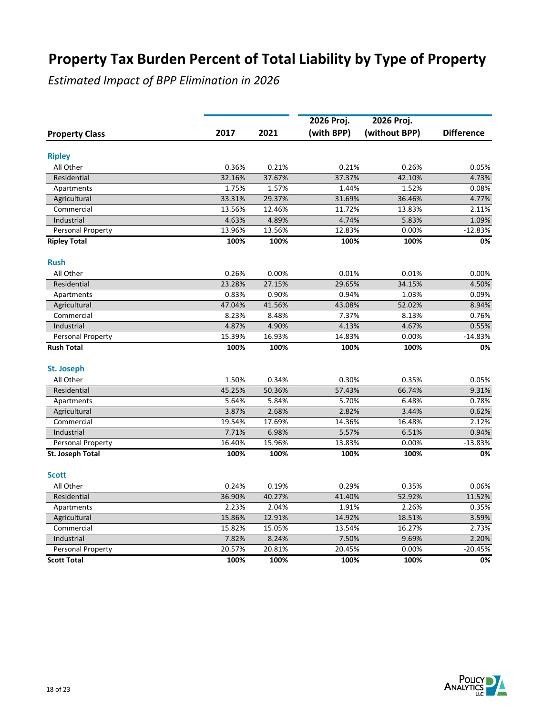|                          |        |        | 2026 Proj. |                             |                   |
|--------------------------|--------|--------|------------|-----------------------------|-------------------|
| <b>Property Class</b>    | 2017   | 2021   | (with BPP) | 2026 Proj.<br>(without BPP) | <b>Difference</b> |
|                          |        |        |            |                             |                   |
| <b>Ripley</b>            |        |        |            |                             |                   |
| All Other                | 0.36%  | 0.21%  | 0.21%      | 0.26%                       | 0.05%             |
| Residential              | 32.16% | 37.67% | 37.37%     | 42.10%                      | 4.73%             |
| Apartments               | 1.75%  | 1.57%  | 1.44%      | 1.52%                       | 0.08%             |
| Agricultural             | 33.31% | 29.37% | 31.69%     | 36.46%                      | 4.77%             |
| Commercial               | 13.56% | 12.46% | 11.72%     | 13.83%                      | 2.11%             |
| Industrial               | 4.63%  | 4.89%  | 4.74%      | 5.83%                       | 1.09%             |
| Personal Property        | 13.96% | 13.56% | 12.83%     | 0.00%                       | $-12.83%$         |
| <b>Ripley Total</b>      | 100%   | 100%   | 100%       | 100%                        | 0%                |
| <b>Rush</b>              |        |        |            |                             |                   |
| All Other                | 0.26%  | 0.00%  | 0.01%      | 0.01%                       | 0.00%             |
| Residential              | 23.28% | 27.15% | 29.65%     | 34.15%                      | 4.50%             |
| Apartments               | 0.83%  | 0.90%  | 0.94%      | 1.03%                       | 0.09%             |
| Agricultural             | 47.04% | 41.56% | 43.08%     | 52.02%                      | 8.94%             |
| Commercial               | 8.23%  | 8.48%  | 7.37%      | 8.13%                       | 0.76%             |
| Industrial               | 4.87%  | 4.90%  | 4.13%      | 4.67%                       | 0.55%             |
| Personal Property        | 15.39% | 16.93% | 14.83%     | 0.00%                       | $-14.83%$         |
| <b>Rush Total</b>        | 100%   | 100%   | 100%       | 100%                        | 0%                |
| <b>St. Joseph</b>        |        |        |            |                             |                   |
| All Other                | 1.50%  | 0.34%  | 0.30%      | 0.35%                       | 0.05%             |
| Residential              | 45.25% | 50.36% | 57.43%     | 66.74%                      | 9.31%             |
| Apartments               | 5.64%  | 5.84%  | 5.70%      | 6.48%                       | 0.78%             |
| Agricultural             | 3.87%  | 2.68%  | 2.82%      | 3.44%                       | 0.62%             |
| Commercial               | 19.54% | 17.69% | 14.36%     | 16.48%                      | 2.12%             |
| Industrial               | 7.71%  | 6.98%  | 5.57%      | 6.51%                       | 0.94%             |
| <b>Personal Property</b> | 16.40% | 15.96% | 13.83%     | 0.00%                       | $-13.83%$         |
| St. Joseph Total         | 100%   | 100%   | 100%       | 100%                        | 0%                |
| <b>Scott</b>             |        |        |            |                             |                   |
| All Other                | 0.24%  | 0.19%  | 0.29%      | 0.35%                       | 0.06%             |
| Residential              | 36.90% | 40.27% | 41.40%     | 52.92%                      | 11.52%            |
| Apartments               | 2.23%  | 2.04%  | 1.91%      | 2.26%                       | 0.35%             |
| Agricultural             | 15.86% | 12.91% | 14.92%     | 18.51%                      | 3.59%             |
| Commercial               | 15.82% | 15.05% | 13.54%     | 16.27%                      | 2.73%             |
| Industrial               | 7.82%  | 8.24%  | 7.50%      | 9.69%                       | 2.20%             |
| Personal Property        | 20.57% | 20.81% | 20.45%     | 0.00%                       | $-20.45%$         |
| <b>Scott Total</b>       | 100%   | 100%   | 100%       | 100%                        | 0%                |
|                          |        |        |            |                             |                   |

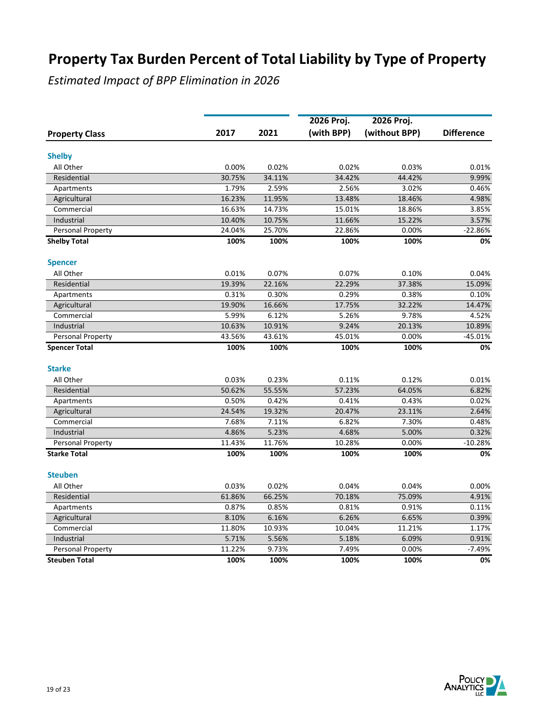|                            |                 |                 | 2026 Proj.      | 2026 Proj.      |                   |
|----------------------------|-----------------|-----------------|-----------------|-----------------|-------------------|
| <b>Property Class</b>      | 2017            | 2021            | (with BPP)      | (without BPP)   | <b>Difference</b> |
| <b>Shelby</b>              |                 |                 |                 |                 |                   |
| All Other                  | 0.00%           | 0.02%           | 0.02%           | 0.03%           | 0.01%             |
| Residential                | 30.75%          | 34.11%          | 34.42%          | 44.42%          | 9.99%             |
| Apartments                 | 1.79%           | 2.59%           | 2.56%           | 3.02%           | 0.46%             |
|                            | 16.23%          | 11.95%          | 13.48%          | 18.46%          | 4.98%             |
| Agricultural<br>Commercial | 16.63%          | 14.73%          | 15.01%          | 18.86%          | 3.85%             |
| Industrial                 | 10.40%          | 10.75%          | 11.66%          | 15.22%          | 3.57%             |
| Personal Property          | 24.04%          | 25.70%          | 22.86%          | 0.00%           | $-22.86%$         |
| <b>Shelby Total</b>        | 100%            | 100%            | 100%            | 100%            | 0%                |
| <b>Spencer</b>             |                 |                 |                 |                 |                   |
| All Other                  | 0.01%           | 0.07%           | 0.07%           | 0.10%           | 0.04%             |
| Residential                |                 |                 |                 |                 |                   |
|                            | 19.39%<br>0.31% | 22.16%<br>0.30% | 22.29%<br>0.29% | 37.38%<br>0.38% | 15.09%<br>0.10%   |
| Apartments                 | 19.90%          | 16.66%          | 17.75%          | 32.22%          | 14.47%            |
| Agricultural<br>Commercial | 5.99%           | 6.12%           | 5.26%           | 9.78%           | 4.52%             |
| Industrial                 | 10.63%          | 10.91%          | 9.24%           | 20.13%          | 10.89%            |
| Personal Property          | 43.56%          | 43.61%          | 45.01%          | 0.00%           | $-45.01%$         |
| <b>Spencer Total</b>       | 100%            | 100%            | 100%            | 100%            | 0%                |
| <b>Starke</b>              |                 |                 |                 |                 |                   |
|                            |                 |                 |                 |                 |                   |
| All Other<br>Residential   | 0.03%           | 0.23%<br>55.55% | 0.11%<br>57.23% | 0.12%           | 0.01%             |
|                            | 50.62%          |                 |                 | 64.05%          | 6.82%             |
| Apartments                 | 0.50%           | 0.42%           | 0.41%           | 0.43%           | 0.02%             |
| Agricultural               | 24.54%          | 19.32%          | 20.47%          | 23.11%          | 2.64%             |
| Commercial                 | 7.68%           | 7.11%           | 6.82%           | 7.30%           | 0.48%             |
| Industrial                 | 4.86%           | 5.23%           | 4.68%           | 5.00%           | 0.32%             |
| Personal Property          | 11.43%          | 11.76%          | 10.28%          | 0.00%           | $-10.28%$         |
| <b>Starke Total</b>        | 100%            | 100%            | 100%            | 100%            | 0%                |
| <b>Steuben</b>             |                 |                 |                 |                 |                   |
| All Other                  | 0.03%           | 0.02%           | 0.04%           | 0.04%           | 0.00%             |
| Residential                | 61.86%          | 66.25%          | 70.18%          | 75.09%          | 4.91%             |
| Apartments                 | 0.87%           | 0.85%           | 0.81%           | 0.91%           | 0.11%             |
| Agricultural               | 8.10%           | 6.16%           | 6.26%           | 6.65%           | 0.39%             |
| Commercial                 | 11.80%          | 10.93%          | 10.04%          | 11.21%          | 1.17%             |
| Industrial                 | 5.71%           | 5.56%           | 5.18%           | 6.09%           | 0.91%             |
| Personal Property          | 11.22%          | 9.73%           | 7.49%           | 0.00%           | $-7.49%$          |
| <b>Steuben Total</b>       | 100%            | 100%            | 100%            | 100%            | 0%                |

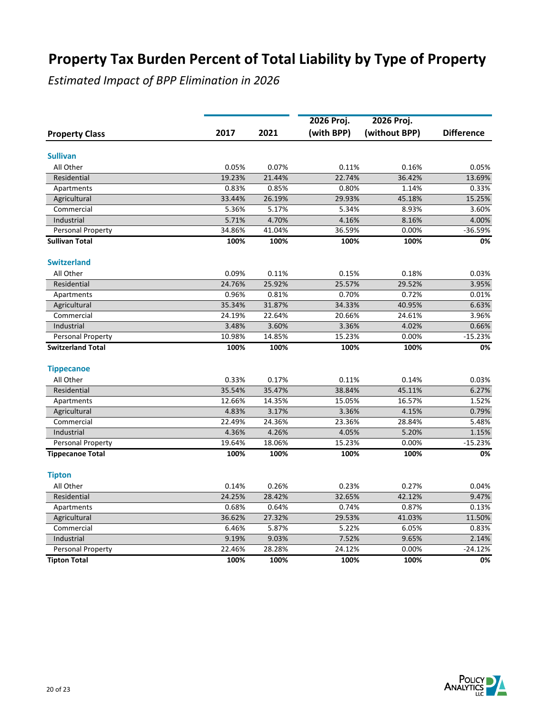|                          |        |        | 2026 Proj. | 2026 Proj.    |                   |
|--------------------------|--------|--------|------------|---------------|-------------------|
| <b>Property Class</b>    | 2017   | 2021   | (with BPP) | (without BPP) | <b>Difference</b> |
| <b>Sullivan</b>          |        |        |            |               |                   |
| All Other                | 0.05%  | 0.07%  | 0.11%      | 0.16%         | 0.05%             |
| Residential              | 19.23% | 21.44% | 22.74%     | 36.42%        | 13.69%            |
| Apartments               | 0.83%  | 0.85%  | 0.80%      | 1.14%         | 0.33%             |
| Agricultural             | 33.44% | 26.19% | 29.93%     | 45.18%        | 15.25%            |
| Commercial               | 5.36%  | 5.17%  | 5.34%      | 8.93%         | 3.60%             |
| Industrial               | 5.71%  | 4.70%  | 4.16%      | 8.16%         | 4.00%             |
| Personal Property        | 34.86% | 41.04% | 36.59%     | 0.00%         | $-36.59%$         |
| <b>Sullivan Total</b>    | 100%   | 100%   | 100%       | 100%          | 0%                |
| <b>Switzerland</b>       |        |        |            |               |                   |
| All Other                | 0.09%  | 0.11%  | 0.15%      | 0.18%         | 0.03%             |
| Residential              | 24.76% | 25.92% | 25.57%     | 29.52%        | 3.95%             |
| Apartments               | 0.96%  | 0.81%  | 0.70%      | 0.72%         | 0.01%             |
| Agricultural             | 35.34% | 31.87% | 34.33%     | 40.95%        | 6.63%             |
| Commercial               | 24.19% | 22.64% | 20.66%     | 24.61%        | 3.96%             |
| Industrial               | 3.48%  | 3.60%  | 3.36%      | 4.02%         | 0.66%             |
| Personal Property        | 10.98% | 14.85% | 15.23%     | 0.00%         | $-15.23%$         |
| <b>Switzerland Total</b> | 100%   | 100%   | 100%       | 100%          | 0%                |
| <b>Tippecanoe</b>        |        |        |            |               |                   |
| All Other                | 0.33%  | 0.17%  | 0.11%      | 0.14%         | 0.03%             |
| Residential              | 35.54% | 35.47% | 38.84%     | 45.11%        | 6.27%             |
| Apartments               | 12.66% | 14.35% | 15.05%     | 16.57%        | 1.52%             |
| Agricultural             | 4.83%  | 3.17%  | 3.36%      | 4.15%         | 0.79%             |
| Commercial               | 22.49% | 24.36% | 23.36%     | 28.84%        | 5.48%             |
| Industrial               | 4.36%  | 4.26%  | 4.05%      | 5.20%         | 1.15%             |
| Personal Property        | 19.64% | 18.06% | 15.23%     | 0.00%         | $-15.23%$         |
| <b>Tippecanoe Total</b>  | 100%   | 100%   | 100%       | 100%          | 0%                |
| <b>Tipton</b>            |        |        |            |               |                   |
| All Other                | 0.14%  | 0.26%  | 0.23%      | 0.27%         | 0.04%             |
| Residential              | 24.25% | 28.42% | 32.65%     | 42.12%        | 9.47%             |
| Apartments               | 0.68%  | 0.64%  | 0.74%      | 0.87%         | 0.13%             |
| Agricultural             | 36.62% | 27.32% | 29.53%     | 41.03%        | 11.50%            |
| Commercial               | 6.46%  | 5.87%  | 5.22%      | 6.05%         | 0.83%             |
| Industrial               | 9.19%  | 9.03%  | 7.52%      | 9.65%         | 2.14%             |
| Personal Property        | 22.46% | 28.28% | 24.12%     | 0.00%         | $-24.12%$         |
| <b>Tipton Total</b>      | 100%   | 100%   | 100%       | 100%          | 0%                |

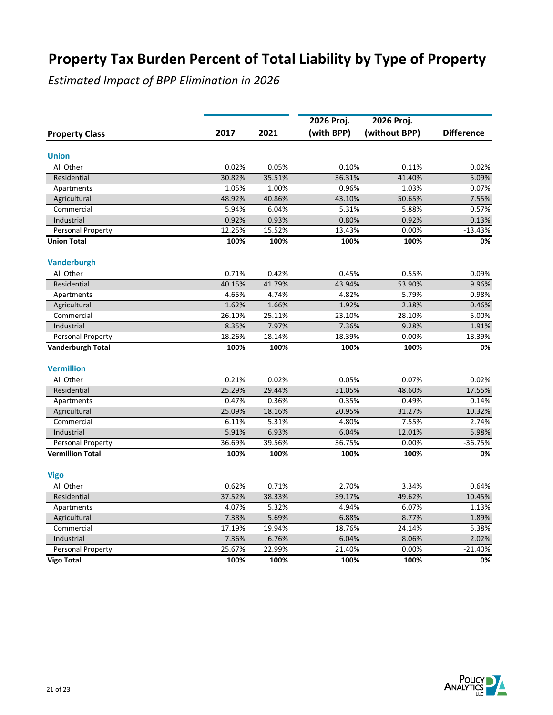|                          |        |        | 2026 Proj. | 2026 Proj.    |                   |
|--------------------------|--------|--------|------------|---------------|-------------------|
| <b>Property Class</b>    | 2017   | 2021   | (with BPP) | (without BPP) | <b>Difference</b> |
| <b>Union</b>             |        |        |            |               |                   |
| All Other                | 0.02%  | 0.05%  | 0.10%      | 0.11%         | 0.02%             |
| Residential              | 30.82% | 35.51% | 36.31%     | 41.40%        | 5.09%             |
| Apartments               | 1.05%  | 1.00%  | 0.96%      | 1.03%         | 0.07%             |
| Agricultural             | 48.92% | 40.86% | 43.10%     | 50.65%        | 7.55%             |
| Commercial               | 5.94%  | 6.04%  | 5.31%      | 5.88%         | 0.57%             |
| Industrial               | 0.92%  | 0.93%  | 0.80%      | 0.92%         | 0.13%             |
| Personal Property        | 12.25% | 15.52% | 13.43%     | 0.00%         | $-13.43%$         |
| <b>Union Total</b>       | 100%   | 100%   | 100%       | 100%          | 0%                |
| <b>Vanderburgh</b>       |        |        |            |               |                   |
| All Other                | 0.71%  | 0.42%  | 0.45%      | 0.55%         | 0.09%             |
| Residential              | 40.15% | 41.79% | 43.94%     | 53.90%        | 9.96%             |
| Apartments               | 4.65%  | 4.74%  | 4.82%      | 5.79%         | 0.98%             |
| Agricultural             | 1.62%  | 1.66%  | 1.92%      | 2.38%         | 0.46%             |
| Commercial               | 26.10% | 25.11% | 23.10%     | 28.10%        | 5.00%             |
| Industrial               | 8.35%  | 7.97%  | 7.36%      | 9.28%         | 1.91%             |
| Personal Property        | 18.26% | 18.14% | 18.39%     | 0.00%         | $-18.39%$         |
| <b>Vanderburgh Total</b> | 100%   | 100%   | 100%       | 100%          | 0%                |
| <b>Vermillion</b>        |        |        |            |               |                   |
| All Other                | 0.21%  | 0.02%  | 0.05%      | 0.07%         | 0.02%             |
| Residential              | 25.29% | 29.44% | 31.05%     | 48.60%        | 17.55%            |
| Apartments               | 0.47%  | 0.36%  | 0.35%      | 0.49%         | 0.14%             |
| Agricultural             | 25.09% | 18.16% | 20.95%     | 31.27%        | 10.32%            |
| Commercial               | 6.11%  | 5.31%  | 4.80%      | 7.55%         | 2.74%             |
| Industrial               | 5.91%  | 6.93%  | 6.04%      | 12.01%        | 5.98%             |
| Personal Property        | 36.69% | 39.56% | 36.75%     | 0.00%         | $-36.75%$         |
| <b>Vermillion Total</b>  | 100%   | 100%   | 100%       | 100%          | 0%                |
| <b>Vigo</b>              |        |        |            |               |                   |
| All Other                | 0.62%  | 0.71%  | 2.70%      | 3.34%         | 0.64%             |
| Residential              | 37.52% | 38.33% | 39.17%     | 49.62%        | 10.45%            |
| Apartments               | 4.07%  | 5.32%  | 4.94%      | 6.07%         | 1.13%             |
| Agricultural             | 7.38%  | 5.69%  | 6.88%      | 8.77%         | 1.89%             |
| Commercial               | 17.19% | 19.94% | 18.76%     | 24.14%        | 5.38%             |
| Industrial               | 7.36%  | 6.76%  | 6.04%      | 8.06%         | 2.02%             |
| Personal Property        | 25.67% | 22.99% | 21.40%     | 0.00%         | $-21.40%$         |
| <b>Vigo Total</b>        | 100%   | 100%   | 100%       | 100%          | 0%                |

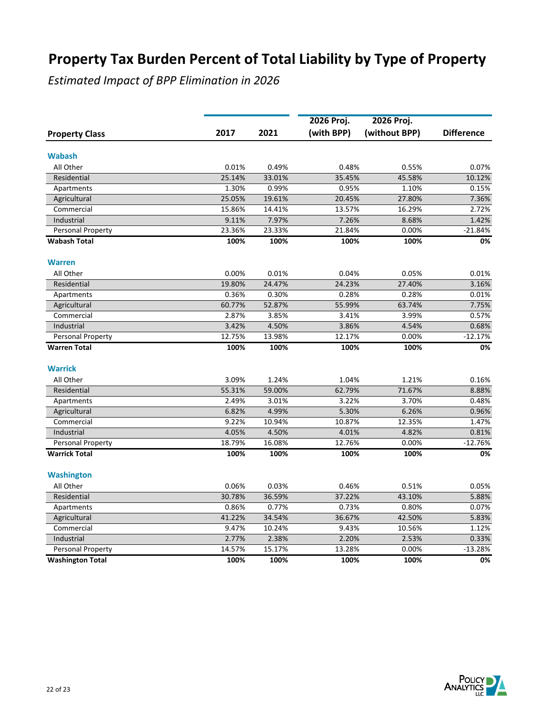|                          |        |        | 2026 Proj. | 2026 Proj.    |                   |
|--------------------------|--------|--------|------------|---------------|-------------------|
| <b>Property Class</b>    | 2017   | 2021   | (with BPP) | (without BPP) | <b>Difference</b> |
| <b>Wabash</b>            |        |        |            |               |                   |
| All Other                | 0.01%  | 0.49%  | 0.48%      | 0.55%         | 0.07%             |
| Residential              | 25.14% | 33.01% | 35.45%     | 45.58%        | 10.12%            |
| Apartments               | 1.30%  | 0.99%  | 0.95%      | 1.10%         | 0.15%             |
| Agricultural             | 25.05% | 19.61% | 20.45%     | 27.80%        | 7.36%             |
| Commercial               | 15.86% | 14.41% | 13.57%     | 16.29%        | 2.72%             |
| Industrial               | 9.11%  | 7.97%  | 7.26%      | 8.68%         | 1.42%             |
| Personal Property        | 23.36% | 23.33% | 21.84%     | 0.00%         | $-21.84%$         |
| <b>Wabash Total</b>      | 100%   | 100%   | 100%       | 100%          | 0%                |
| <b>Warren</b>            |        |        |            |               |                   |
| All Other                | 0.00%  | 0.01%  | 0.04%      | 0.05%         | 0.01%             |
| Residential              | 19.80% | 24.47% | 24.23%     | 27.40%        | 3.16%             |
| Apartments               | 0.36%  | 0.30%  | 0.28%      | 0.28%         | 0.01%             |
| Agricultural             | 60.77% | 52.87% | 55.99%     | 63.74%        | 7.75%             |
| Commercial               | 2.87%  | 3.85%  | 3.41%      | 3.99%         | 0.57%             |
| Industrial               | 3.42%  | 4.50%  | 3.86%      | 4.54%         | 0.68%             |
| Personal Property        | 12.75% | 13.98% | 12.17%     | 0.00%         | $-12.17%$         |
| <b>Warren Total</b>      | 100%   | 100%   | 100%       | 100%          | 0%                |
| <b>Warrick</b>           |        |        |            |               |                   |
| All Other                | 3.09%  | 1.24%  | 1.04%      | 1.21%         | 0.16%             |
| Residential              | 55.31% | 59.00% | 62.79%     | 71.67%        | 8.88%             |
| Apartments               | 2.49%  | 3.01%  | 3.22%      | 3.70%         | 0.48%             |
| Agricultural             | 6.82%  | 4.99%  | 5.30%      | 6.26%         | 0.96%             |
| Commercial               | 9.22%  | 10.94% | 10.87%     | 12.35%        | 1.47%             |
| Industrial               | 4.05%  | 4.50%  | 4.01%      | 4.82%         | 0.81%             |
| <b>Personal Property</b> | 18.79% | 16.08% | 12.76%     | 0.00%         | $-12.76%$         |
| <b>Warrick Total</b>     | 100%   | 100%   | 100%       | 100%          | 0%                |
| <b>Washington</b>        |        |        |            |               |                   |
| All Other                | 0.06%  | 0.03%  | 0.46%      | 0.51%         | 0.05%             |
| Residential              | 30.78% | 36.59% | 37.22%     | 43.10%        | 5.88%             |
| Apartments               | 0.86%  | 0.77%  | 0.73%      | 0.80%         | 0.07%             |
| Agricultural             | 41.22% | 34.54% | 36.67%     | 42.50%        | 5.83%             |
| Commercial               | 9.47%  | 10.24% | 9.43%      | 10.56%        | 1.12%             |
| Industrial               | 2.77%  | 2.38%  | 2.20%      | 2.53%         | 0.33%             |
| Personal Property        | 14.57% | 15.17% | 13.28%     | 0.00%         | $-13.28%$         |
| <b>Washington Total</b>  | 100%   | 100%   | 100%       | 100%          | 0%                |